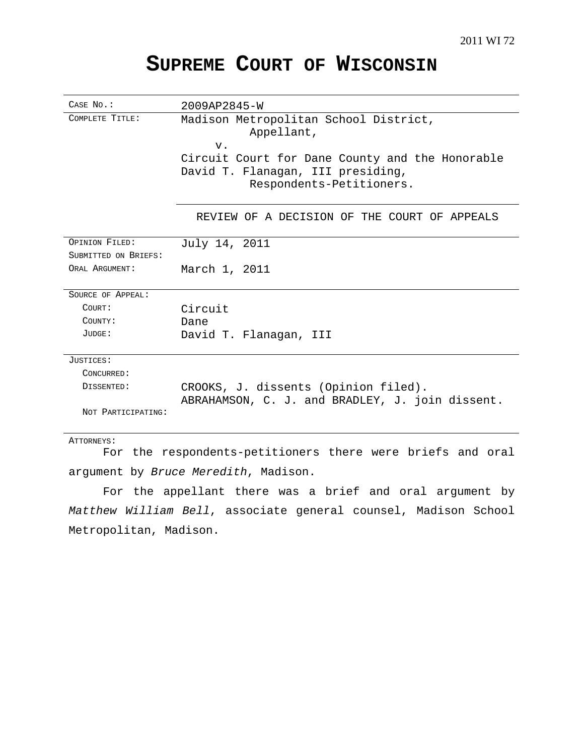# **SUPREME COURT OF WISCONSIN**

| CASE No.:            | 2009AP2845-W                                                                            |
|----------------------|-----------------------------------------------------------------------------------------|
| COMPLETE TITLE:      | Madison Metropolitan School District,<br>Appellant,<br>$V$ .                            |
|                      | Circuit Court for Dane County and the Honorable                                         |
|                      | David T. Flanagan, III presiding,<br>Respondents-Petitioners.                           |
|                      | REVIEW OF A DECISION OF THE COURT OF APPEALS                                            |
| OPINION FILED:       | July 14, 2011                                                                           |
| SUBMITTED ON BRIEFS: |                                                                                         |
| ORAL ARGUMENT:       | March 1, 2011                                                                           |
| SOURCE OF APPEAL:    |                                                                                         |
| COURT:               | Circuit                                                                                 |
| COUNTY:              | Dane                                                                                    |
| JUDGE:               | David T. Flanagan, III                                                                  |
| JUSTICES:            |                                                                                         |
| CONCURRED:           |                                                                                         |
| DISSENTED:           | CROOKS, J. dissents (Opinion filed).<br>ABRAHAMSON, C. J. and BRADLEY, J. join dissent. |
| NOT PARTICIPATING:   |                                                                                         |

ATTORNEYS:

For the respondents-petitioners there were briefs and oral argument by Bruce Meredith, Madison.

For the appellant there was a brief and oral argument by Matthew William Bell, associate general counsel, Madison School Metropolitan, Madison.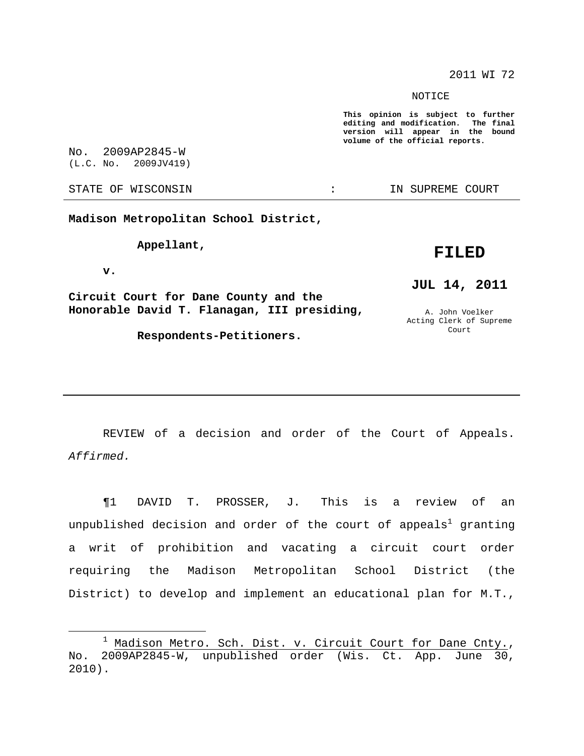2011 WI 72

NOTICE

**This opinion is subject to further editing and modification. The final version will appear in the bound volume of the official reports.**

No. 2009AP2845-W (L.C. No. 2009JV419)

**Madison Metropolitan School District,**

**Appellant,**

**FILED**

**v.**

**Circuit Court for Dane County and the Honorable David T. Flanagan, III presiding,**

**Respondents-Petitioners.**

## **JUL 14, 2011**

A. John Voelker Acting Clerk of Supreme Court

REVIEW of a decision and order of the Court of Appeals. Affirmed.

¶1 DAVID T. PROSSER, J. This is a review of an unpublished decision and order of the court of appeals $^{\rm l}$  granting a writ of prohibition and vacating a circuit court order requiring the Madison Metropolitan School District (the District) to develop and implement an educational plan for M.T.,

STATE OF WISCONSIN THE RESERVE STATE OF WISCONSIN STATE OF THE SUPREME COURT

 $1$  Madison Metro. Sch. Dist. v. Circuit Court for Dane Cnty., No. 2009AP2845-W, unpublished order (Wis. Ct. App. June 30, 2010).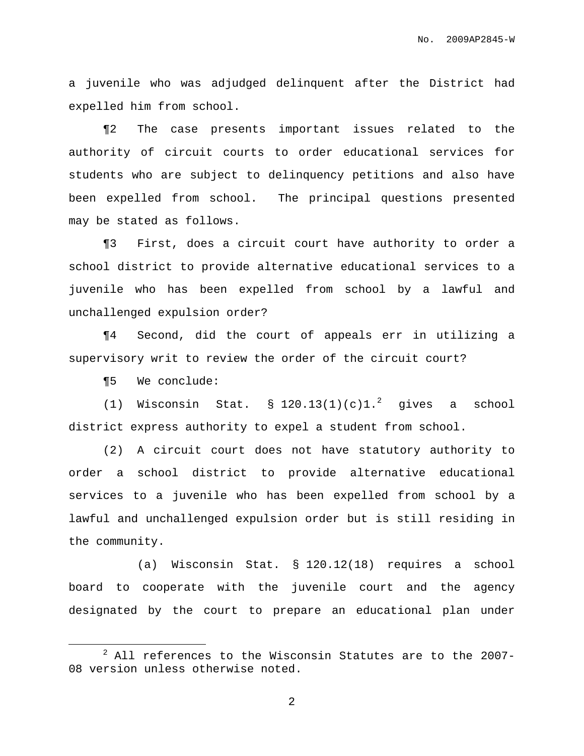a juvenile who was adjudged delinquent after the District had expelled him from school.

¶2 The case presents important issues related to the authority of circuit courts to order educational services for students who are subject to delinquency petitions and also have been expelled from school. The principal questions presented may be stated as follows.

¶3 First, does a circuit court have authority to order a school district to provide alternative educational services to a juvenile who has been expelled from school by a lawful and unchallenged expulsion order?

¶4 Second, did the court of appeals err in utilizing a supervisory writ to review the order of the circuit court?

¶5 We conclude:

(1) Wisconsin Stat.  $\S$  120.13(1)(c)1.<sup>2</sup> gives a school district express authority to expel a student from school.

(2) A circuit court does not have statutory authority to order a school district to provide alternative educational services to a juvenile who has been expelled from school by a lawful and unchallenged expulsion order but is still residing in the community.

(a) Wisconsin Stat. § 120.12(18) requires a school board to cooperate with the juvenile court and the agency designated by the court to prepare an educational plan under

 $2$  All references to the Wisconsin Statutes are to the 2007-08 version unless otherwise noted.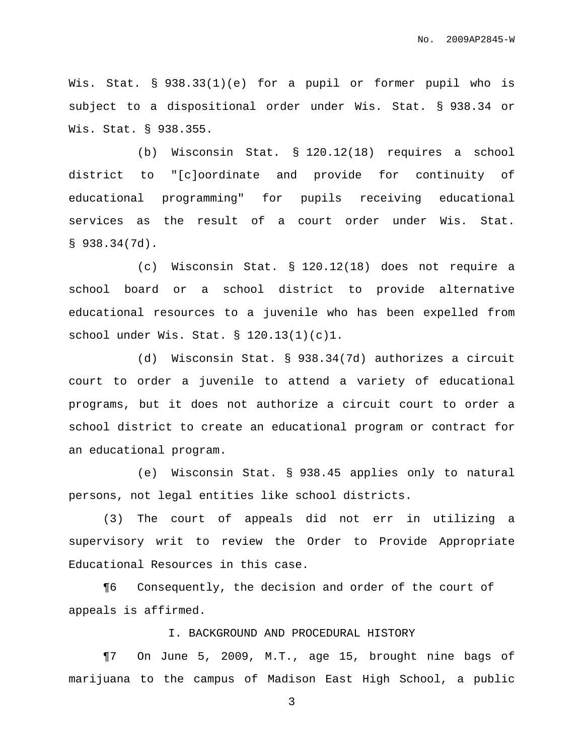Wis. Stat. § 938.33(1)(e) for a pupil or former pupil who is subject to a dispositional order under Wis. Stat. § 938.34 or Wis. Stat. § 938.355.

(b) Wisconsin Stat. § 120.12(18) requires a school district to "[c]oordinate and provide for continuity of educational programming" for pupils receiving educational services as the result of a court order under Wis. Stat.  $$938.34(7d)$ .

(c) Wisconsin Stat. § 120.12(18) does not require a school board or a school district to provide alternative educational resources to a juvenile who has been expelled from school under Wis. Stat. § 120.13(1)(c)1.

(d) Wisconsin Stat. § 938.34(7d) authorizes a circuit court to order a juvenile to attend a variety of educational programs, but it does not authorize a circuit court to order a school district to create an educational program or contract for an educational program.

(e) Wisconsin Stat. § 938.45 applies only to natural persons, not legal entities like school districts.

(3) The court of appeals did not err in utilizing a supervisory writ to review the Order to Provide Appropriate Educational Resources in this case.

¶6 Consequently, the decision and order of the court of appeals is affirmed.

#### I. BACKGROUND AND PROCEDURAL HISTORY

¶7 On June 5, 2009, M.T., age 15, brought nine bags of marijuana to the campus of Madison East High School, a public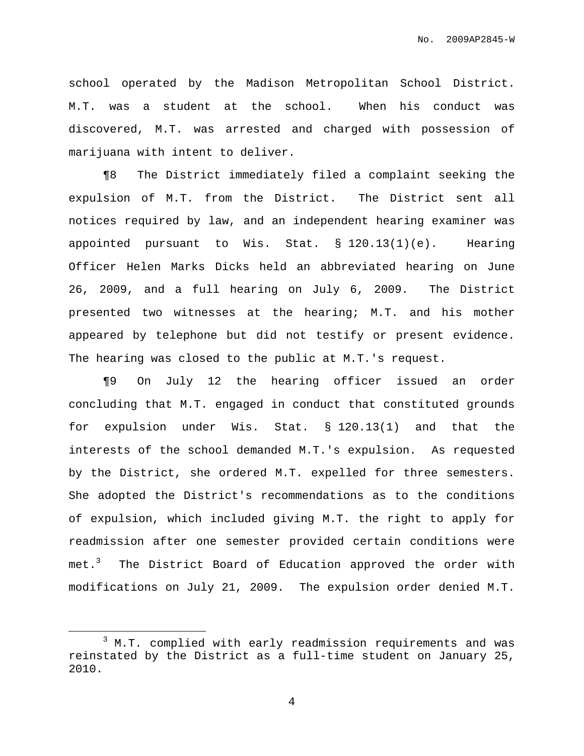school operated by the Madison Metropolitan School District. M.T. was a student at the school. When his conduct was discovered, M.T. was arrested and charged with possession of marijuana with intent to deliver.

¶8 The District immediately filed a complaint seeking the expulsion of M.T. from the District. The District sent all notices required by law, and an independent hearing examiner was appointed pursuant to Wis. Stat. § 120.13(1)(e). Hearing Officer Helen Marks Dicks held an abbreviated hearing on June 26, 2009, and a full hearing on July 6, 2009. The District presented two witnesses at the hearing; M.T. and his mother appeared by telephone but did not testify or present evidence. The hearing was closed to the public at M.T.'s request.

¶9 On July 12 the hearing officer issued an order concluding that M.T. engaged in conduct that constituted grounds for expulsion under Wis. Stat. § 120.13(1) and that the interests of the school demanded M.T.'s expulsion. As requested by the District, she ordered M.T. expelled for three semesters. She adopted the District's recommendations as to the conditions of expulsion, which included giving M.T. the right to apply for readmission after one semester provided certain conditions were met.<sup>3</sup> The District Board of Education approved the order with modifications on July 21, 2009. The expulsion order denied M.T.

 $3$  M.T. complied with early readmission requirements and was reinstated by the District as a full-time student on January 25, 2010.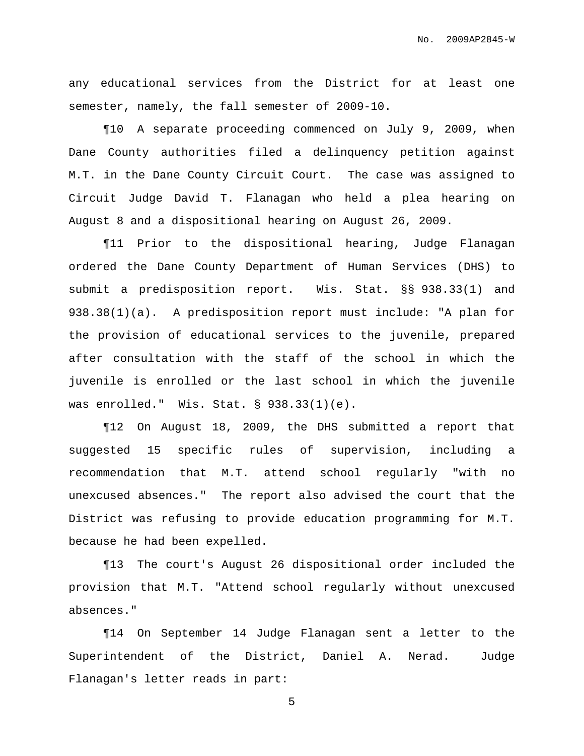any educational services from the District for at least one semester, namely, the fall semester of 2009-10.

¶10 A separate proceeding commenced on July 9, 2009, when Dane County authorities filed a delinquency petition against M.T. in the Dane County Circuit Court. The case was assigned to Circuit Judge David T. Flanagan who held a plea hearing on August 8 and a dispositional hearing on August 26, 2009.

¶11 Prior to the dispositional hearing, Judge Flanagan ordered the Dane County Department of Human Services (DHS) to submit a predisposition report. Wis. Stat. §§ 938.33(1) and 938.38(1)(a). A predisposition report must include: "A plan for the provision of educational services to the juvenile, prepared after consultation with the staff of the school in which the juvenile is enrolled or the last school in which the juvenile was enrolled." Wis. Stat. § 938.33(1)(e).

¶12 On August 18, 2009, the DHS submitted a report that suggested 15 specific rules of supervision, including a recommendation that M.T. attend school regularly "with no unexcused absences." The report also advised the court that the District was refusing to provide education programming for M.T. because he had been expelled.

¶13 The court's August 26 dispositional order included the provision that M.T. "Attend school regularly without unexcused absences."

¶14 On September 14 Judge Flanagan sent a letter to the Superintendent of the District, Daniel A. Nerad. Judge Flanagan's letter reads in part: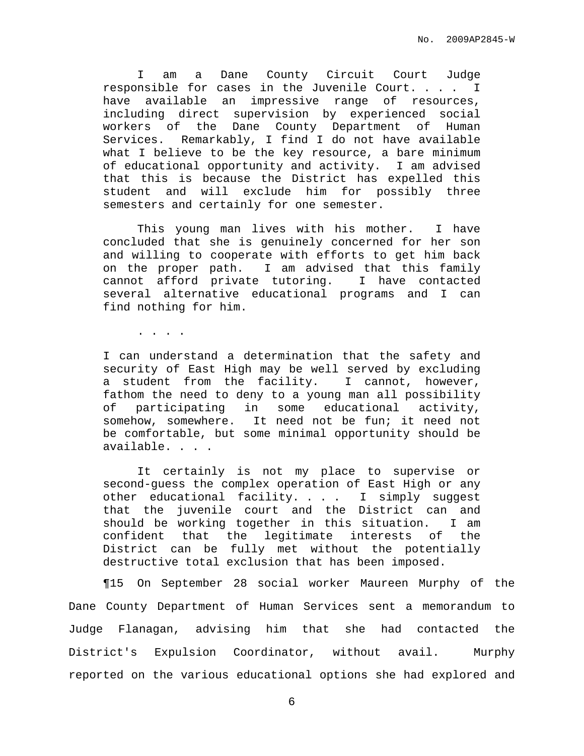I am a Dane County Circuit Court Judge responsible for cases in the Juvenile Court. . . . I have available an impressive range of resources, including direct supervision by experienced social workers of the Dane County Department of Human Services. Remarkably, I find I do not have available what I believe to be the key resource, a bare minimum of educational opportunity and activity. I am advised that this is because the District has expelled this student and will exclude him for possibly three semesters and certainly for one semester.

This young man lives with his mother. I have concluded that she is genuinely concerned for her son and willing to cooperate with efforts to get him back on the proper path. I am advised that this family cannot afford private tutoring. I have contacted several alternative educational programs and I can find nothing for him.

. . . .

I can understand a determination that the safety and security of East High may be well served by excluding a student from the facility. I cannot, however, fathom the need to deny to a young man all possibility of participating in some educational activity, somehow, somewhere. It need not be fun; it need not be comfortable, but some minimal opportunity should be available. . . .

It certainly is not my place to supervise or second-guess the complex operation of East High or any other educational facility. . . . I simply suggest that the juvenile court and the District can and should be working together in this situation. I am confident that the legitimate interests of the District can be fully met without the potentially destructive total exclusion that has been imposed.

¶15 On September 28 social worker Maureen Murphy of the Dane County Department of Human Services sent a memorandum to Judge Flanagan, advising him that she had contacted the District's Expulsion Coordinator, without avail. Murphy reported on the various educational options she had explored and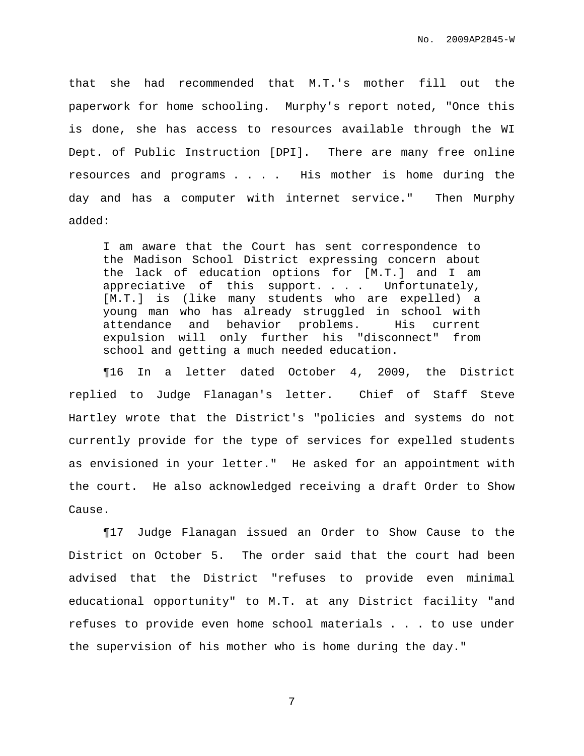that she had recommended that M.T.'s mother fill out the paperwork for home schooling. Murphy's report noted, "Once this is done, she has access to resources available through the WI Dept. of Public Instruction [DPI]. There are many free online resources and programs . . . . His mother is home during the day and has a computer with internet service." Then Murphy added:

I am aware that the Court has sent correspondence to the Madison School District expressing concern about the lack of education options for [M.T.] and I am appreciative of this support. . . . Unfortunately, [M.T.] is (like many students who are expelled) a young man who has already struggled in school with attendance and behavior problems. His current expulsion will only further his "disconnect" from school and getting a much needed education.

¶16 In a letter dated October 4, 2009, the District replied to Judge Flanagan's letter. Chief of Staff Steve Hartley wrote that the District's "policies and systems do not currently provide for the type of services for expelled students as envisioned in your letter." He asked for an appointment with the court. He also acknowledged receiving a draft Order to Show Cause.

¶17 Judge Flanagan issued an Order to Show Cause to the District on October 5. The order said that the court had been advised that the District "refuses to provide even minimal educational opportunity" to M.T. at any District facility "and refuses to provide even home school materials . . . to use under the supervision of his mother who is home during the day."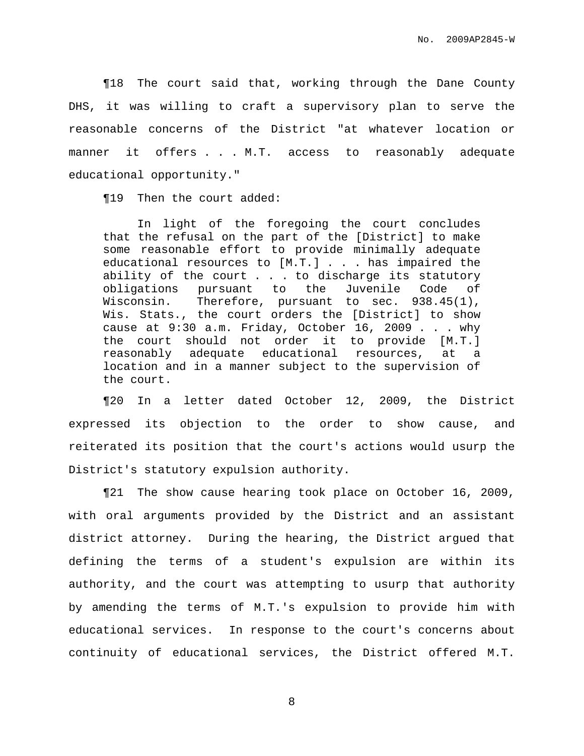¶18 The court said that, working through the Dane County DHS, it was willing to craft a supervisory plan to serve the reasonable concerns of the District "at whatever location or manner it offers . . . M.T. access to reasonably adequate educational opportunity."

¶19 Then the court added:

In light of the foregoing the court concludes that the refusal on the part of the [District] to make some reasonable effort to provide minimally adequate educational resources to [M.T.] . . . has impaired the ability of the court . . . to discharge its statutory obligations pursuant to the Juvenile Code of Wisconsin. Therefore, pursuant to sec. 938.45(1), Wis. Stats., the court orders the [District] to show cause at 9:30 a.m. Friday, October 16, 2009 . . . why the court should not order it to provide [M.T.] reasonably adequate educational resources, at a location and in a manner subject to the supervision of the court.

¶20 In a letter dated October 12, 2009, the District expressed its objection to the order to show cause, and reiterated its position that the court's actions would usurp the District's statutory expulsion authority.

¶21 The show cause hearing took place on October 16, 2009, with oral arguments provided by the District and an assistant district attorney. During the hearing, the District argued that defining the terms of a student's expulsion are within its authority, and the court was attempting to usurp that authority by amending the terms of M.T.'s expulsion to provide him with educational services. In response to the court's concerns about continuity of educational services, the District offered M.T.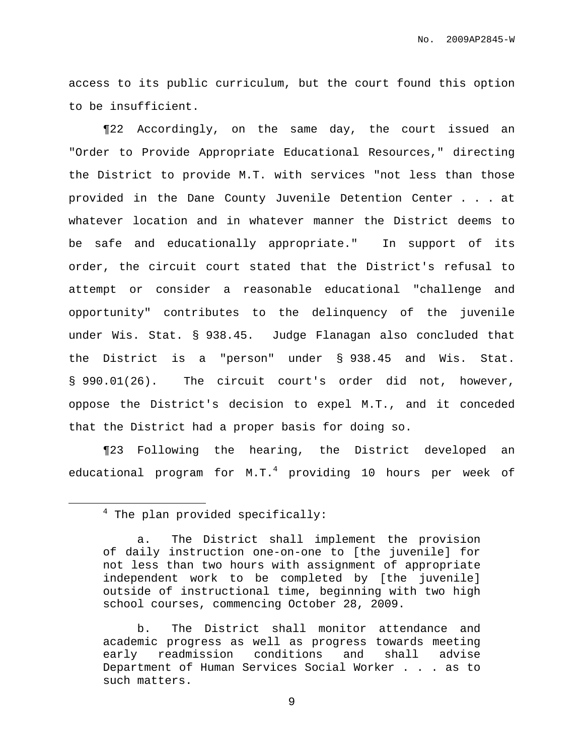access to its public curriculum, but the court found this option to be insufficient.

¶22 Accordingly, on the same day, the court issued an "Order to Provide Appropriate Educational Resources," directing the District to provide M.T. with services "not less than those provided in the Dane County Juvenile Detention Center . . . at whatever location and in whatever manner the District deems to be safe and educationally appropriate." In support of its order, the circuit court stated that the District's refusal to attempt or consider a reasonable educational "challenge and opportunity" contributes to the delinquency of the juvenile under Wis. Stat. § 938.45. Judge Flanagan also concluded that the District is a "person" under § 938.45 and Wis. Stat. § 990.01(26). The circuit court's order did not, however, oppose the District's decision to expel M.T., and it conceded that the District had a proper basis for doing so.

¶23 Following the hearing, the District developed an educational program for M.T. $^4$  providing 10 hours per week of

 $4$  The plan provided specifically:

a. The District shall implement the provision of daily instruction one-on-one to [the juvenile] for not less than two hours with assignment of appropriate independent work to be completed by [the juvenile] outside of instructional time, beginning with two high school courses, commencing October 28, 2009.

b. The District shall monitor attendance and academic progress as well as progress towards meeting early readmission conditions and shall advise Department of Human Services Social Worker . . . as to such matters.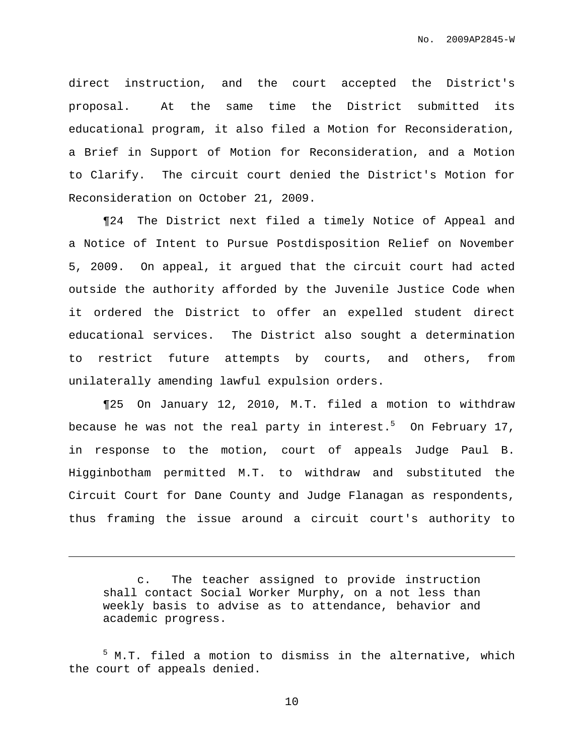direct instruction, and the court accepted the District's proposal. At the same time the District submitted its educational program, it also filed a Motion for Reconsideration, a Brief in Support of Motion for Reconsideration, and a Motion to Clarify. The circuit court denied the District's Motion for Reconsideration on October 21, 2009.

¶24 The District next filed a timely Notice of Appeal and a Notice of Intent to Pursue Postdisposition Relief on November 5, 2009. On appeal, it argued that the circuit court had acted outside the authority afforded by the Juvenile Justice Code when it ordered the District to offer an expelled student direct educational services. The District also sought a determination to restrict future attempts by courts, and others, from unilaterally amending lawful expulsion orders.

¶25 On January 12, 2010, M.T. filed a motion to withdraw because he was not the real party in interest. <sup>5</sup> On February 17, in response to the motion, court of appeals Judge Paul B. Higginbotham permitted M.T. to withdraw and substituted the Circuit Court for Dane County and Judge Flanagan as respondents, thus framing the issue around a circuit court's authority to

c. The teacher assigned to provide instruction shall contact Social Worker Murphy, on a not less than weekly basis to advise as to attendance, behavior and academic progress.

<sup>5</sup> M.T. filed a motion to dismiss in the alternative, which the court of appeals denied.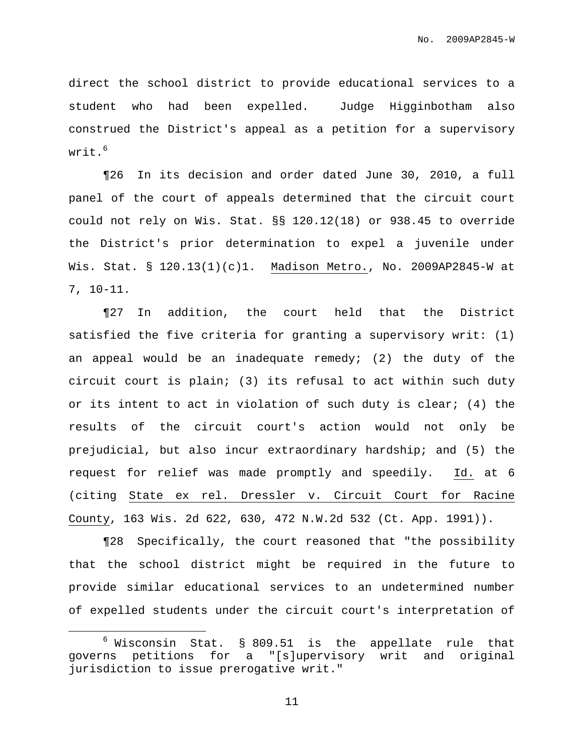direct the school district to provide educational services to a student who had been expelled. Judge Higginbotham also construed the District's appeal as a petition for a supervisory writ. 6

¶26 In its decision and order dated June 30, 2010, a full panel of the court of appeals determined that the circuit court could not rely on Wis. Stat. §§ 120.12(18) or 938.45 to override the District's prior determination to expel a juvenile under Wis. Stat. § 120.13(1)(c)1. Madison Metro., No. 2009AP2845-W at 7, 10-11.

¶27 In addition, the court held that the District satisfied the five criteria for granting a supervisory writ: (1) an appeal would be an inadequate remedy; (2) the duty of the circuit court is plain; (3) its refusal to act within such duty or its intent to act in violation of such duty is clear; (4) the results of the circuit court's action would not only be prejudicial, but also incur extraordinary hardship; and (5) the request for relief was made promptly and speedily. Id. at 6 (citing State ex rel. Dressler v. Circuit Court for Racine County, 163 Wis. 2d 622, 630, 472 N.W.2d 532 (Ct. App. 1991)).

¶28 Specifically, the court reasoned that "the possibility that the school district might be required in the future to provide similar educational services to an undetermined number of expelled students under the circuit court's interpretation of

 $6$  Wisconsin Stat. § 809.51 is the appellate rule that governs petitions for a "[s]upervisory writ and original jurisdiction to issue prerogative writ."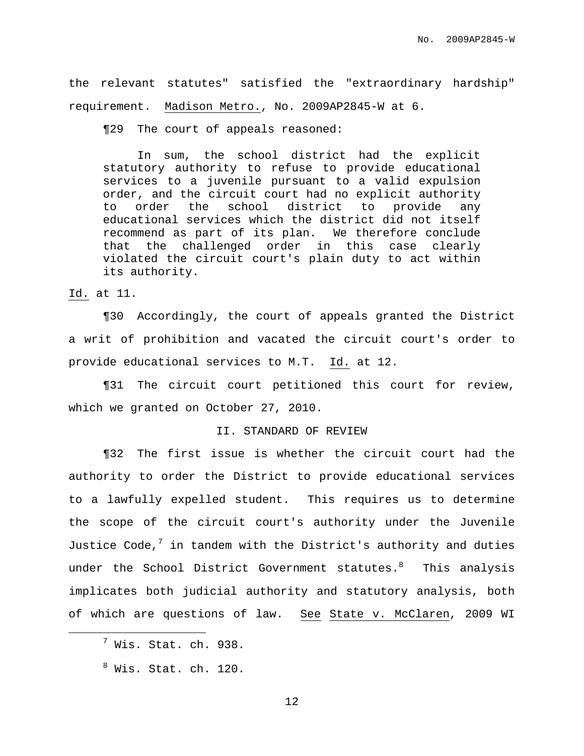the relevant statutes" satisfied the "extraordinary hardship" requirement. Madison Metro., No. 2009AP2845-W at 6.

¶29 The court of appeals reasoned:

In sum, the school district had the explicit statutory authority to refuse to provide educational services to a juvenile pursuant to a valid expulsion order, and the circuit court had no explicit authority to order the school district to provide any educational services which the district did not itself recommend as part of its plan. We therefore conclude that the challenged order in this case clearly violated the circuit court's plain duty to act within its authority.

### Id. at 11.

¶30 Accordingly, the court of appeals granted the District a writ of prohibition and vacated the circuit court's order to provide educational services to M.T. Id. at 12.

¶31 The circuit court petitioned this court for review, which we granted on October 27, 2010.

## II. STANDARD OF REVIEW

¶32 The first issue is whether the circuit court had the authority to order the District to provide educational services to a lawfully expelled student. This requires us to determine the scope of the circuit court's authority under the Juvenile Justice Code, $^7$  in tandem with the District's authority and duties under the School District Government statutes. $^8$  - This analysis implicates both judicial authority and statutory analysis, both of which are questions of law. See State v. McClaren, 2009 WI

 $^7$  Wis. Stat. ch. 938.

 $8\,$  Wis. Stat. ch. 120.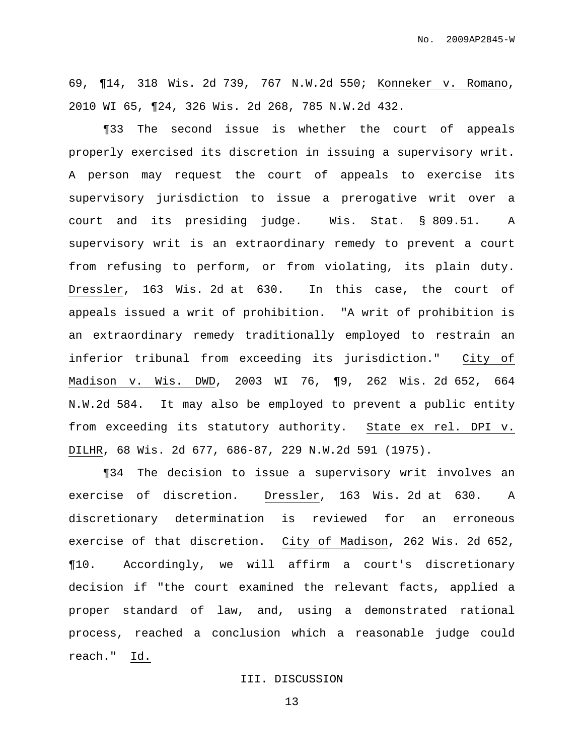69, ¶14, 318 Wis. 2d 739, 767 N.W.2d 550; Konneker v. Romano, 2010 WI 65, ¶24, 326 Wis. 2d 268, 785 N.W.2d 432.

¶33 The second issue is whether the court of appeals properly exercised its discretion in issuing a supervisory writ. A person may request the court of appeals to exercise its supervisory jurisdiction to issue a prerogative writ over a court and its presiding judge. Wis. Stat. § 809.51. A supervisory writ is an extraordinary remedy to prevent a court from refusing to perform, or from violating, its plain duty. Dressler, 163 Wis. 2d at 630. In this case, the court of appeals issued a writ of prohibition. "A writ of prohibition is an extraordinary remedy traditionally employed to restrain an inferior tribunal from exceeding its jurisdiction." City of Madison v. Wis. DWD, 2003 WI 76, ¶9, 262 Wis. 2d 652, 664 N.W.2d 584. It may also be employed to prevent a public entity from exceeding its statutory authority. State ex rel. DPI v. DILHR, 68 Wis. 2d 677, 686-87, 229 N.W.2d 591 (1975).

¶34 The decision to issue a supervisory writ involves an exercise of discretion. Dressler, 163 Wis. 2d at 630. A discretionary determination is reviewed for an erroneous exercise of that discretion. City of Madison, 262 Wis. 2d 652, ¶10. Accordingly, we will affirm a court's discretionary decision if "the court examined the relevant facts, applied a proper standard of law, and, using a demonstrated rational process, reached a conclusion which a reasonable judge could reach." Id.

#### III. DISCUSSION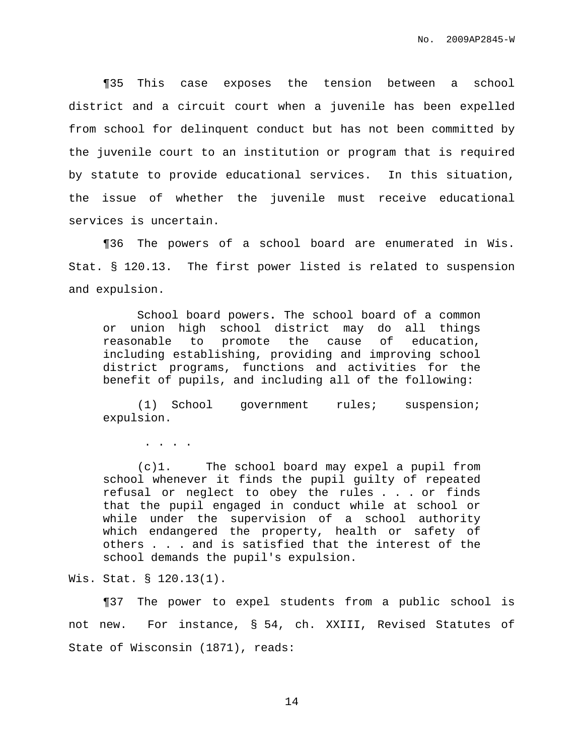¶35 This case exposes the tension between a school district and a circuit court when a juvenile has been expelled from school for delinquent conduct but has not been committed by the juvenile court to an institution or program that is required by statute to provide educational services. In this situation, the issue of whether the juvenile must receive educational services is uncertain.

¶36 The powers of a school board are enumerated in Wis. Stat. § 120.13. The first power listed is related to suspension and expulsion.

School board powers**.** The school board of a common or union high school district may do all things reasonable to promote the cause of education, including establishing, providing and improving school district programs, functions and activities for the benefit of pupils, and including all of the following:

(1) School government rules; suspension; expulsion.

. . . .

(c)1. The school board may expel a pupil from school whenever it finds the pupil guilty of repeated refusal or neglect to obey the rules . . . or finds that the pupil engaged in conduct while at school or while under the supervision of a school authority which endangered the property, health or safety of others . . . and is satisfied that the interest of the school demands the pupil's expulsion.

Wis. Stat. § 120.13(1).

¶37 The power to expel students from a public school is not new. For instance, § 54, ch. XXIII, Revised Statutes of State of Wisconsin (1871), reads: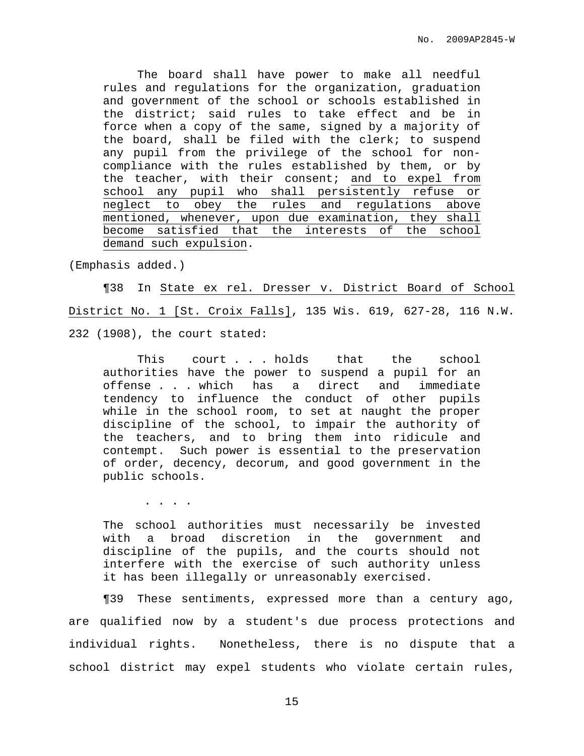The board shall have power to make all needful rules and regulations for the organization, graduation and government of the school or schools established in the district; said rules to take effect and be in force when a copy of the same, signed by a majority of the board, shall be filed with the clerk; to suspend any pupil from the privilege of the school for noncompliance with the rules established by them, or by the teacher, with their consent; and to expel from school any pupil who shall persistently refuse or neglect to obey the rules and regulations above mentioned, whenever, upon due examination, they shall become satisfied that the interests of the school demand such expulsion.

(Emphasis added.)

¶38 In State ex rel. Dresser v. District Board of School District No. 1 [St. Croix Falls], 135 Wis. 619, 627-28, 116 N.W. 232 (1908), the court stated:

This court . . . holds that the school authorities have the power to suspend a pupil for an offense . . . which has a direct and immediate tendency to influence the conduct of other pupils while in the school room, to set at naught the proper discipline of the school, to impair the authority of the teachers, and to bring them into ridicule and contempt. Such power is essential to the preservation of order, decency, decorum, and good government in the public schools.

. . . .

The school authorities must necessarily be invested with a broad discretion in the government and discipline of the pupils, and the courts should not interfere with the exercise of such authority unless it has been illegally or unreasonably exercised.

¶39 These sentiments, expressed more than a century ago, are qualified now by a student's due process protections and individual rights. Nonetheless, there is no dispute that a school district may expel students who violate certain rules,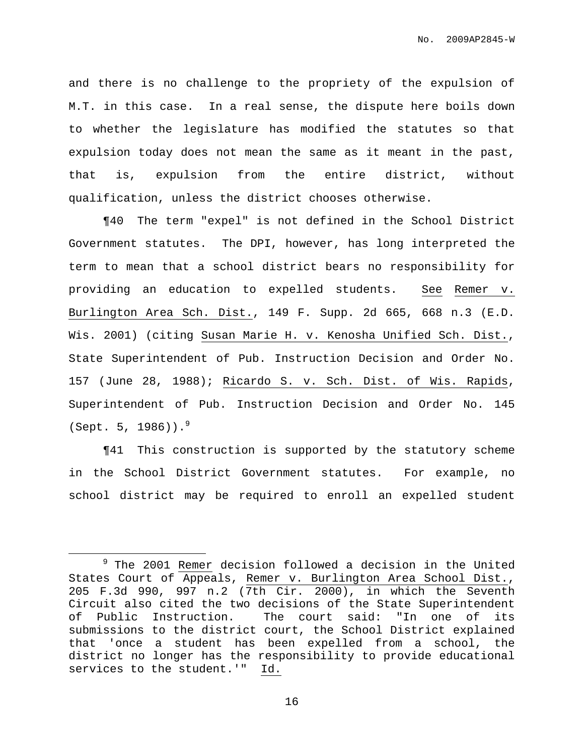and there is no challenge to the propriety of the expulsion of M.T. in this case. In a real sense, the dispute here boils down to whether the legislature has modified the statutes so that expulsion today does not mean the same as it meant in the past, that is, expulsion from the entire district, without qualification, unless the district chooses otherwise.

¶40 The term "expel" is not defined in the School District Government statutes. The DPI, however, has long interpreted the term to mean that a school district bears no responsibility for providing an education to expelled students. See Remer v. Burlington Area Sch. Dist., 149 F. Supp. 2d 665, 668 n.3 (E.D. Wis. 2001) (citing Susan Marie H. v. Kenosha Unified Sch. Dist., State Superintendent of Pub. Instruction Decision and Order No. 157 (June 28, 1988); Ricardo S. v. Sch. Dist. of Wis. Rapids, Superintendent of Pub. Instruction Decision and Order No. 145 (Sept. 5, 1986)). 9

¶41 This construction is supported by the statutory scheme in the School District Government statutes. For example, no school district may be required to enroll an expelled student

<sup>&</sup>lt;sup>9</sup> The 2001 Remer decision followed a decision in the United States Court of Appeals, Remer v. Burlington Area School Dist., 205 F.3d 990, 997 n.2 (7th Cir. 2000), in which the Seventh Circuit also cited the two decisions of the State Superintendent of Public Instruction. The court said: "In one of its submissions to the district court, the School District explained that 'once a student has been expelled from a school, the district no longer has the responsibility to provide educational services to the student.'" Id.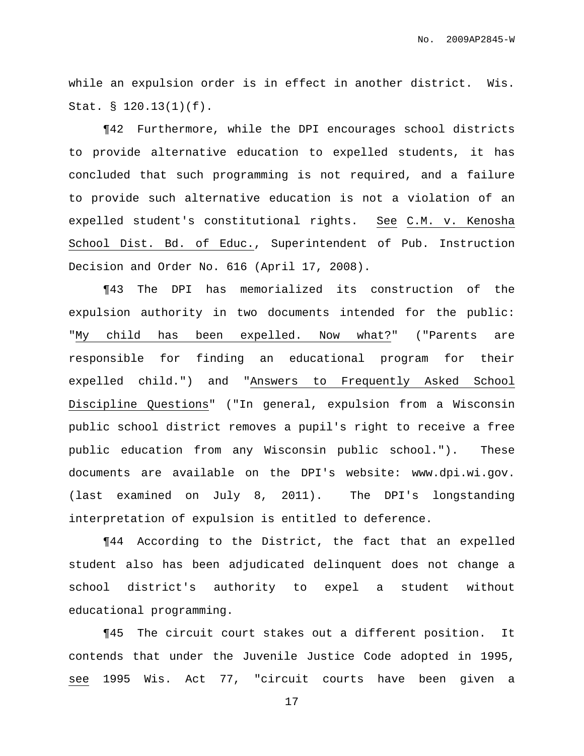while an expulsion order is in effect in another district. Wis. Stat. § 120.13(1)(f).

¶42 Furthermore, while the DPI encourages school districts to provide alternative education to expelled students, it has concluded that such programming is not required, and a failure to provide such alternative education is not a violation of an expelled student's constitutional rights. See C.M. v. Kenosha School Dist. Bd. of Educ., Superintendent of Pub. Instruction Decision and Order No. 616 (April 17, 2008).

¶43 The DPI has memorialized its construction of the expulsion authority in two documents intended for the public: "My child has been expelled. Now what?" ("Parents are responsible for finding an educational program for their expelled child.") and "Answers to Frequently Asked School Discipline Questions" ("In general, expulsion from a Wisconsin public school district removes a pupil's right to receive a free public education from any Wisconsin public school."). These documents are available on the DPI's website: www.dpi.wi.gov. (last examined on July 8, 2011). The DPI's longstanding interpretation of expulsion is entitled to deference.

¶44 According to the District, the fact that an expelled student also has been adjudicated delinquent does not change a school district's authority to expel a student without educational programming.

¶45 The circuit court stakes out a different position. It contends that under the Juvenile Justice Code adopted in 1995, see 1995 Wis. Act 77, "circuit courts have been given a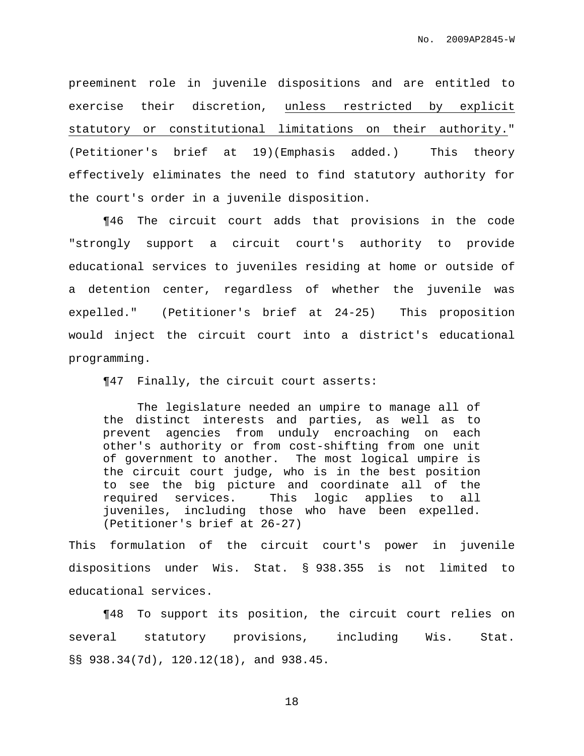preeminent role in juvenile dispositions and are entitled to exercise their discretion, unless restricted by explicit statutory or constitutional limitations on their authority." (Petitioner's brief at 19)(Emphasis added.) This theory effectively eliminates the need to find statutory authority for the court's order in a juvenile disposition.

¶46 The circuit court adds that provisions in the code "strongly support a circuit court's authority to provide educational services to juveniles residing at home or outside of a detention center, regardless of whether the juvenile was expelled." (Petitioner's brief at 24-25) This proposition would inject the circuit court into a district's educational programming.

¶47 Finally, the circuit court asserts:

The legislature needed an umpire to manage all of the distinct interests and parties, as well as to prevent agencies from unduly encroaching on each other's authority or from cost-shifting from one unit of government to another. The most logical umpire is the circuit court judge, who is in the best position to see the big picture and coordinate all of the required services. This logic applies to all juveniles, including those who have been expelled. (Petitioner's brief at 26-27)

This formulation of the circuit court's power in juvenile dispositions under Wis. Stat. § 938.355 is not limited to educational services.

¶48 To support its position, the circuit court relies on several statutory provisions, including Wis. Stat. §§ 938.34(7d), 120.12(18), and 938.45.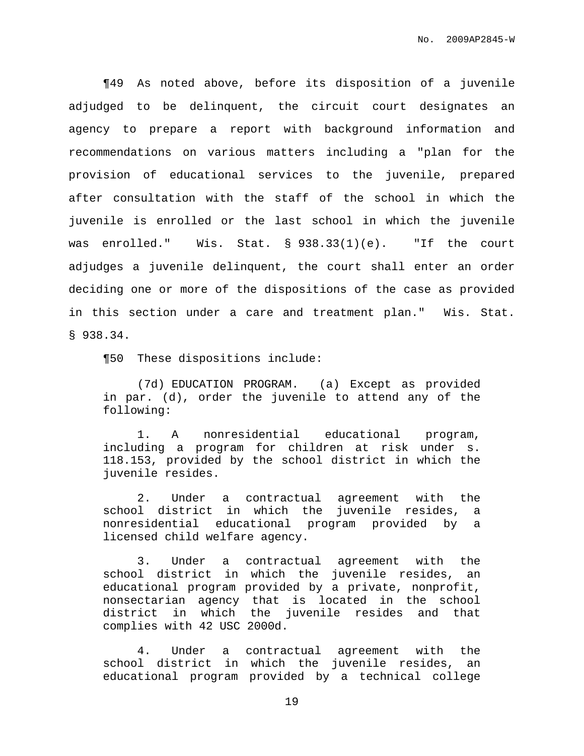¶49 As noted above, before its disposition of a juvenile adjudged to be delinquent, the circuit court designates an agency to prepare a report with background information and recommendations on various matters including a "plan for the provision of educational services to the juvenile, prepared after consultation with the staff of the school in which the juvenile is enrolled or the last school in which the juvenile was enrolled." Wis. Stat. § 938.33(1)(e). "If the court adjudges a juvenile delinquent, the court shall enter an order deciding one or more of the dispositions of the case as provided in this section under a care and treatment plan." Wis. Stat. § 938.34.

¶50 These dispositions include:

(7d) EDUCATION PROGRAM. (a) Except as provided in par. (d), order the juvenile to attend any of the following:

1. A nonresidential educational program, including a program for children at risk under s. 118.153, provided by the school district in which the juvenile resides.

2. Under a contractual agreement with the school district in which the juvenile resides, a nonresidential educational program provided by a licensed child welfare agency.

3. Under a contractual agreement with the school district in which the juvenile resides, an educational program provided by a private, nonprofit, nonsectarian agency that is located in the school district in which the juvenile resides and that complies with 42 USC 2000d.

4. Under a contractual agreement with the school district in which the juvenile resides, an educational program provided by a technical college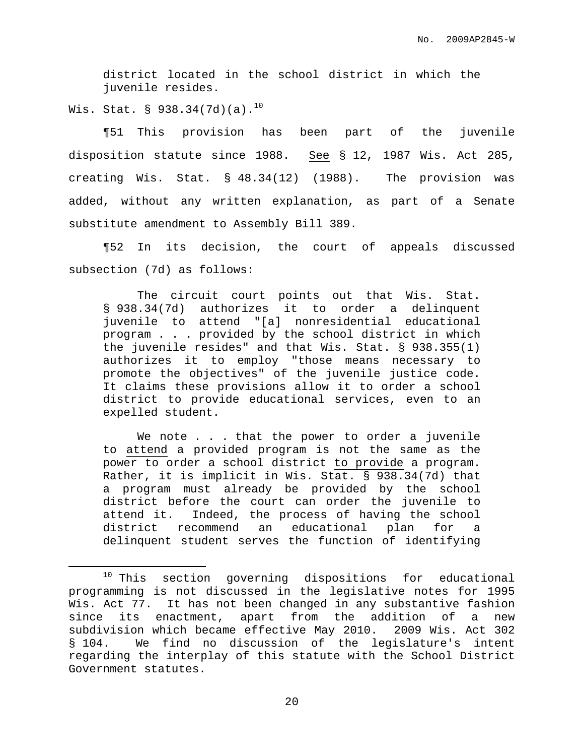district located in the school district in which the juvenile resides.

Wis. Stat. § 938.34(7d)(a). $^{10}$ 

¶51 This provision has been part of the juvenile disposition statute since 1988. See § 12, 1987 Wis. Act 285, creating Wis. Stat. § 48.34(12) (1988). The provision was added, without any written explanation, as part of a Senate substitute amendment to Assembly Bill 389.

¶52 In its decision, the court of appeals discussed subsection (7d) as follows:

The circuit court points out that Wis. Stat. § 938.34(7d) authorizes it to order a delinquent juvenile to attend "[a] nonresidential educational program . . . provided by the school district in which the juvenile resides" and that Wis. Stat. § 938.355(1) authorizes it to employ "those means necessary to promote the objectives" of the juvenile justice code. It claims these provisions allow it to order a school district to provide educational services, even to an expelled student.

We note . . . that the power to order a juvenile to attend a provided program is not the same as the power to order a school district to provide a program. Rather, it is implicit in Wis. Stat. § 938.34(7d) that a program must already be provided by the school district before the court can order the juvenile to attend it. Indeed, the process of having the school district recommend an educational plan for a delinquent student serves the function of identifying

<sup>&</sup>lt;sup>10</sup> This section governing dispositions for educational programming is not discussed in the legislative notes for 1995 Wis. Act 77. It has not been changed in any substantive fashion since its enactment, apart from the addition of a new subdivision which became effective May 2010. 2009 Wis. Act 302 § 104. We find no discussion of the legislature's intent regarding the interplay of this statute with the School District Government statutes.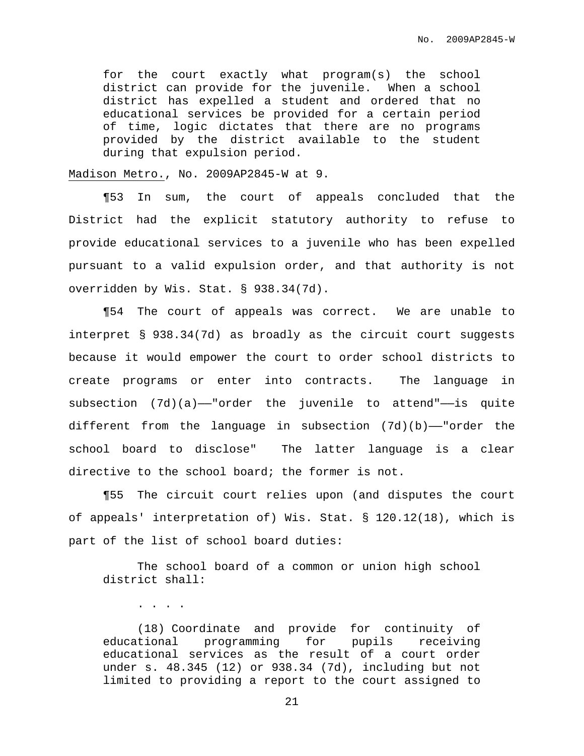for the court exactly what program(s) the school district can provide for the juvenile. When a school district has expelled a student and ordered that no educational services be provided for a certain period of time, logic dictates that there are no programs provided by the district available to the student during that expulsion period.

Madison Metro., No. 2009AP2845-W at 9.

. . . .

¶53 In sum, the court of appeals concluded that the District had the explicit statutory authority to refuse to provide educational services to a juvenile who has been expelled pursuant to a valid expulsion order, and that authority is not overridden by Wis. Stat. § 938.34(7d).

¶54 The court of appeals was correct. We are unable to interpret § 938.34(7d) as broadly as the circuit court suggests because it would empower the court to order school districts to create programs or enter into contracts. The language in subsection  $(7d)(a)$ -"order the juvenile to attend"-is quite different from the language in subsection  $(7d)(b)$ —"order the school board to disclose" The latter language is a clear directive to the school board; the former is not.

¶55 The circuit court relies upon (and disputes the court of appeals' interpretation of) Wis. Stat. § 120.12(18), which is part of the list of school board duties:

The school board of a common or union high school district shall:

(18) Coordinate and provide for continuity of educational programming for pupils receiving educational services as the result of a court order under s. 48.345 (12) or 938.34 (7d), including but not limited to providing a report to the court assigned to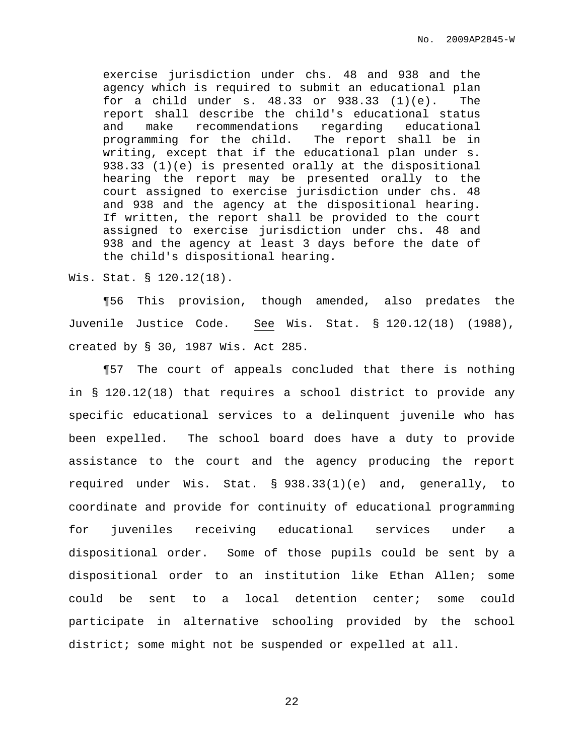exercise jurisdiction under chs. 48 and 938 and the agency which is required to submit an educational plan for a child under s.  $48.33$  or  $938.33$   $(1)(e)$ . The report shall describe the child's educational status and make recommendations regarding educational programming for the child. The report shall be in writing, except that if the educational plan under s. 938.33 (1)(e) is presented orally at the dispositional hearing the report may be presented orally to the court assigned to exercise jurisdiction under chs. 48 and 938 and the agency at the dispositional hearing. If written, the report shall be provided to the court assigned to exercise jurisdiction under chs. 48 and 938 and the agency at least 3 days before the date of the child's dispositional hearing.

Wis. Stat. § 120.12(18).

¶56 This provision, though amended, also predates the Juvenile Justice Code. See Wis. Stat. § 120.12(18) (1988), created by § 30, 1987 Wis. Act 285.

¶57 The court of appeals concluded that there is nothing in § 120.12(18) that requires a school district to provide any specific educational services to a delinquent juvenile who has been expelled. The school board does have a duty to provide assistance to the court and the agency producing the report required under Wis. Stat. § 938.33(1)(e) and, generally, to coordinate and provide for continuity of educational programming for juveniles receiving educational services under a dispositional order. Some of those pupils could be sent by a dispositional order to an institution like Ethan Allen; some could be sent to a local detention center; some could participate in alternative schooling provided by the school district; some might not be suspended or expelled at all.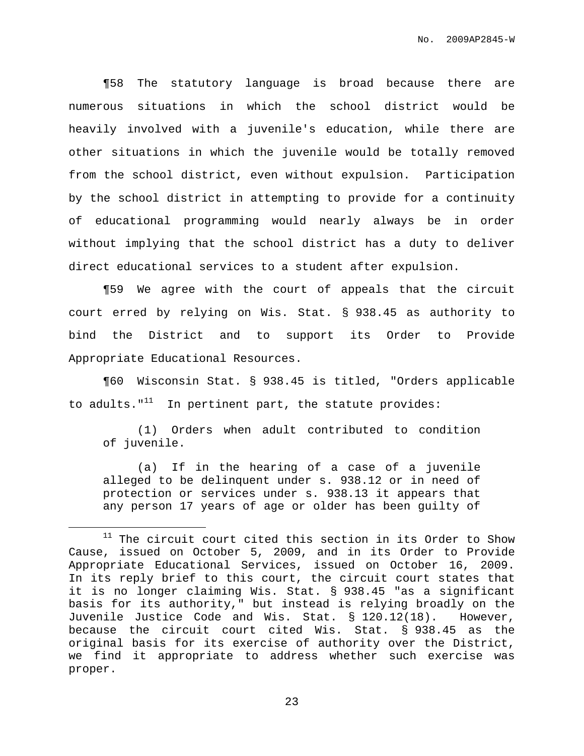¶58 The statutory language is broad because there are numerous situations in which the school district would be heavily involved with a juvenile's education, while there are other situations in which the juvenile would be totally removed from the school district, even without expulsion. Participation by the school district in attempting to provide for a continuity of educational programming would nearly always be in order without implying that the school district has a duty to deliver direct educational services to a student after expulsion.

¶59 We agree with the court of appeals that the circuit court erred by relying on Wis. Stat. § 938.45 as authority to bind the District and to support its Order to Provide Appropriate Educational Resources.

¶60 Wisconsin Stat. § 938.45 is titled, "Orders applicable to adults."<sup>11</sup> In pertinent part, the statute provides:

(1) Orders when adult contributed to condition of juvenile.

(a) If in the hearing of a case of a juvenile alleged to be delinquent under s. 938.12 or in need of protection or services under s. 938.13 it appears that any person 17 years of age or older has been guilty of

 $11$  The circuit court cited this section in its Order to Show Cause, issued on October 5, 2009, and in its Order to Provide Appropriate Educational Services, issued on October 16, 2009. In its reply brief to this court, the circuit court states that it is no longer claiming Wis. Stat. § 938.45 "as a significant basis for its authority," but instead is relying broadly on the Juvenile Justice Code and Wis. Stat. § 120.12(18). However, because the circuit court cited Wis. Stat. § 938.45 as the original basis for its exercise of authority over the District, we find it appropriate to address whether such exercise was proper.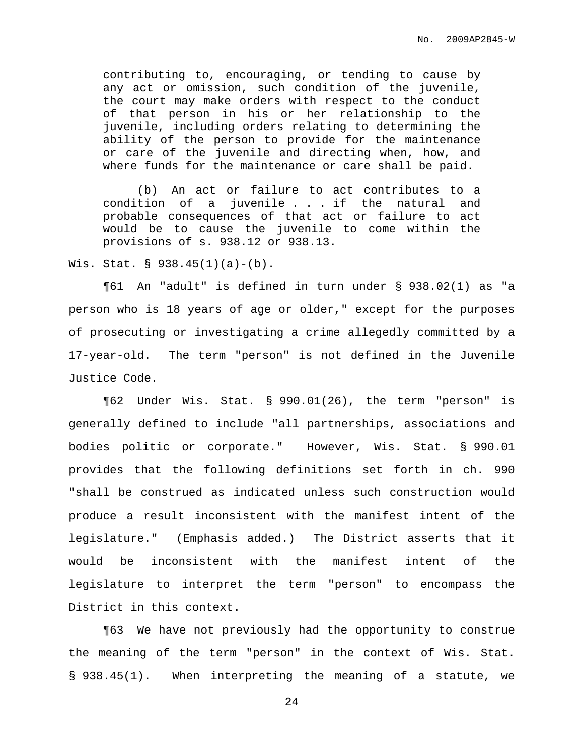contributing to, encouraging, or tending to cause by any act or omission, such condition of the juvenile, the court may make orders with respect to the conduct of that person in his or her relationship to the juvenile, including orders relating to determining the ability of the person to provide for the maintenance or care of the juvenile and directing when, how, and where funds for the maintenance or care shall be paid.

(b) An act or failure to act contributes to a condition of a juvenile . . . if the natural and probable consequences of that act or failure to act would be to cause the juvenile to come within the provisions of s. 938.12 or 938.13.

Wis. Stat. § 938.45(1)(a)-(b).

¶61 An "adult" is defined in turn under § 938.02(1) as "a person who is 18 years of age or older," except for the purposes of prosecuting or investigating a crime allegedly committed by a 17-year-old. The term "person" is not defined in the Juvenile Justice Code.

¶62 Under Wis. Stat. § 990.01(26), the term "person" is generally defined to include "all partnerships, associations and bodies politic or corporate." However, Wis. Stat. § 990.01 provides that the following definitions set forth in ch. 990 "shall be construed as indicated unless such construction would produce a result inconsistent with the manifest intent of the legislature." (Emphasis added.) The District asserts that it would be inconsistent with the manifest intent of the legislature to interpret the term "person" to encompass the District in this context.

¶63 We have not previously had the opportunity to construe the meaning of the term "person" in the context of Wis. Stat. § 938.45(1). When interpreting the meaning of a statute, we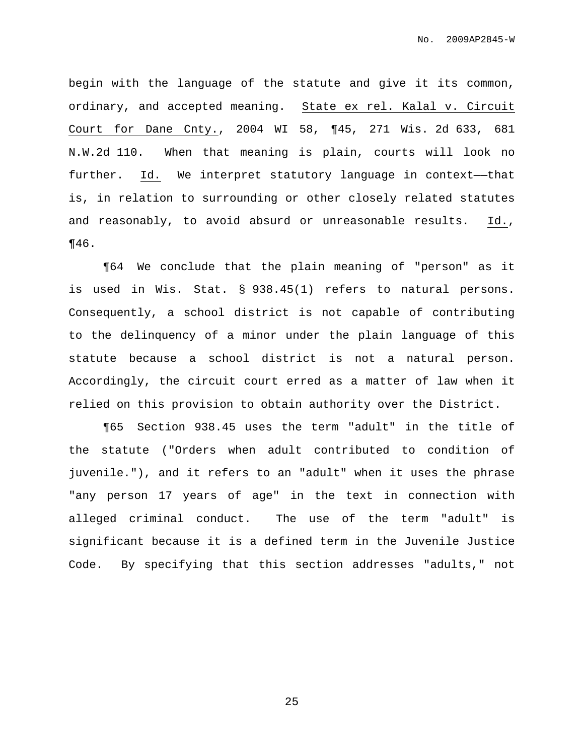begin with the language of the statute and give it its common, ordinary, and accepted meaning. State ex rel. Kalal v. Circuit Court for Dane Cnty., 2004 WI 58, ¶45, 271 Wis. 2d 633, 681 N.W.2d 110. When that meaning is plain, courts will look no further. Id. We interpret statutory language in context—that is, in relation to surrounding or other closely related statutes and reasonably, to avoid absurd or unreasonable results. Id., ¶46.

¶64 We conclude that the plain meaning of "person" as it is used in Wis. Stat. § 938.45(1) refers to natural persons. Consequently, a school district is not capable of contributing to the delinquency of a minor under the plain language of this statute because a school district is not a natural person. Accordingly, the circuit court erred as a matter of law when it relied on this provision to obtain authority over the District.

¶65 Section 938.45 uses the term "adult" in the title of the statute ("Orders when adult contributed to condition of juvenile."), and it refers to an "adult" when it uses the phrase "any person 17 years of age" in the text in connection with alleged criminal conduct. The use of the term "adult" is significant because it is a defined term in the Juvenile Justice Code. By specifying that this section addresses "adults," not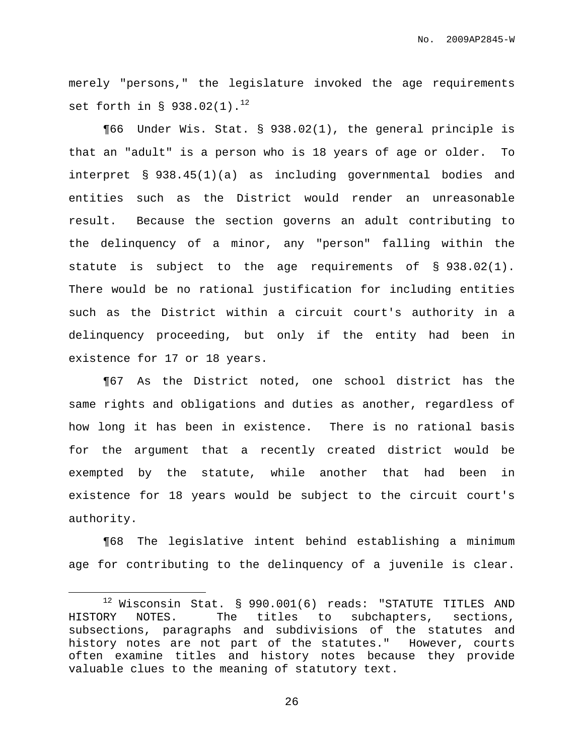merely "persons," the legislature invoked the age requirements set forth in §  $938.02(1)$ . $^{12}$ 

¶66 Under Wis. Stat. § 938.02(1), the general principle is that an "adult" is a person who is 18 years of age or older. To interpret § 938.45(1)(a) as including governmental bodies and entities such as the District would render an unreasonable result. Because the section governs an adult contributing to the delinquency of a minor, any "person" falling within the statute is subject to the age requirements of § 938.02(1). There would be no rational justification for including entities such as the District within a circuit court's authority in a delinquency proceeding, but only if the entity had been in existence for 17 or 18 years.

¶67 As the District noted, one school district has the same rights and obligations and duties as another, regardless of how long it has been in existence. There is no rational basis for the argument that a recently created district would be exempted by the statute, while another that had been in existence for 18 years would be subject to the circuit court's authority.

¶68 The legislative intent behind establishing a minimum age for contributing to the delinquency of a juvenile is clear.

 $12$  Wisconsin Stat. § 990.001(6) reads: "STATUTE TITLES AND HISTORY NOTES. The titles to subchapters, sections, subsections, paragraphs and subdivisions of the statutes and history notes are not part of the statutes." However, courts often examine titles and history notes because they provide valuable clues to the meaning of statutory text.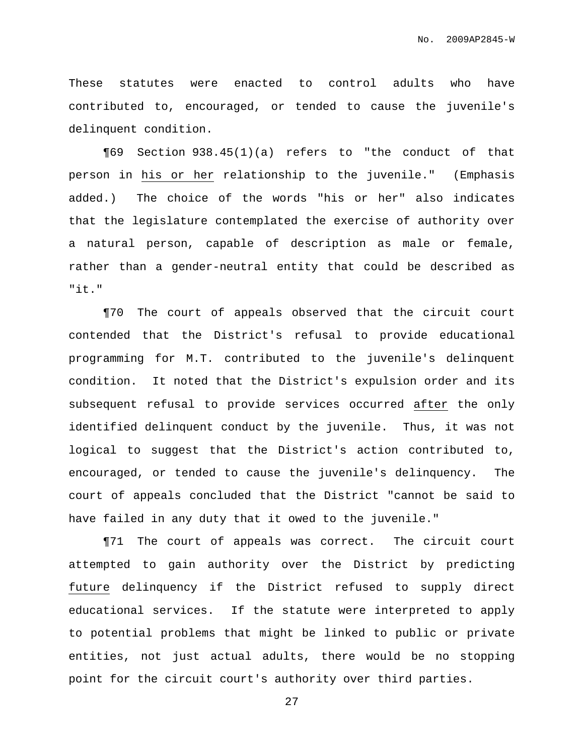These statutes were enacted to control adults who have contributed to, encouraged, or tended to cause the juvenile's delinquent condition.

¶69 Section 938.45(1)(a) refers to "the conduct of that person in his or her relationship to the juvenile." (Emphasis added.) The choice of the words "his or her" also indicates that the legislature contemplated the exercise of authority over a natural person, capable of description as male or female, rather than a gender-neutral entity that could be described as "it."

¶70 The court of appeals observed that the circuit court contended that the District's refusal to provide educational programming for M.T. contributed to the juvenile's delinquent condition. It noted that the District's expulsion order and its subsequent refusal to provide services occurred after the only identified delinquent conduct by the juvenile. Thus, it was not logical to suggest that the District's action contributed to, encouraged, or tended to cause the juvenile's delinquency. The court of appeals concluded that the District "cannot be said to have failed in any duty that it owed to the juvenile."

¶71 The court of appeals was correct. The circuit court attempted to gain authority over the District by predicting future delinquency if the District refused to supply direct educational services. If the statute were interpreted to apply to potential problems that might be linked to public or private entities, not just actual adults, there would be no stopping point for the circuit court's authority over third parties.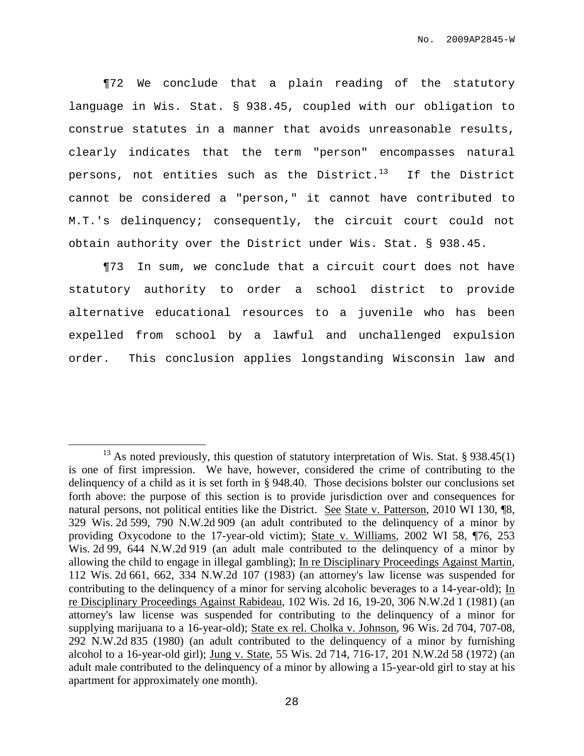¶72 We conclude that a plain reading of the statutory language in Wis. Stat. § 938.45, coupled with our obligation to construe statutes in a manner that avoids unreasonable results, clearly indicates that the term "person" encompasses natural persons, not entities such as the District.<sup>13</sup> If the District cannot be considered a "person," it cannot have contributed to M.T.'s delinquency; consequently, the circuit court could not obtain authority over the District under Wis. Stat. § 938.45.

¶73 In sum, we conclude that a circuit court does not have statutory authority to order a school district to provide alternative educational resources to a juvenile who has been expelled from school by a lawful and unchallenged expulsion order. This conclusion applies longstanding Wisconsin law and

 $13$  As noted previously, this question of statutory interpretation of Wis. Stat. § 938.45(1) is one of first impression. We have, however, considered the crime of contributing to the delinquency of a child as it is set forth in § 948.40. Those decisions bolster our conclusions set forth above: the purpose of this section is to provide jurisdiction over and consequences for natural persons, not political entities like the District. See State v. Patterson, 2010 WI 130, ¶8, 329 Wis. 2d 599, 790 N.W.2d 909 (an adult contributed to the delinquency of a minor by providing Oxycodone to the 17-year-old victim); State v. Williams, 2002 WI 58, ¶76, 253 Wis. 2d 99, 644 N.W.2d 919 (an adult male contributed to the delinquency of a minor by allowing the child to engage in illegal gambling); In re Disciplinary Proceedings Against Martin, 112 Wis. 2d 661, 662, 334 N.W.2d 107 (1983) (an attorney's law license was suspended for contributing to the delinquency of a minor for serving alcoholic beverages to a 14-year-old); In re Disciplinary Proceedings Against Rabideau, 102 Wis. 2d 16, 19-20, 306 N.W.2d 1 (1981) (an attorney's law license was suspended for contributing to the delinquency of a minor for supplying marijuana to a 16-year-old); State ex rel. Cholka v. Johnson, 96 Wis. 2d 704, 707-08, 292 N.W.2d 835 (1980) (an adult contributed to the delinquency of a minor by furnishing alcohol to a 16-year-old girl); Jung v. State, 55 Wis. 2d 714, 716-17, 201 N.W.2d 58 (1972) (an adult male contributed to the delinquency of a minor by allowing a 15-year-old girl to stay at his apartment for approximately one month).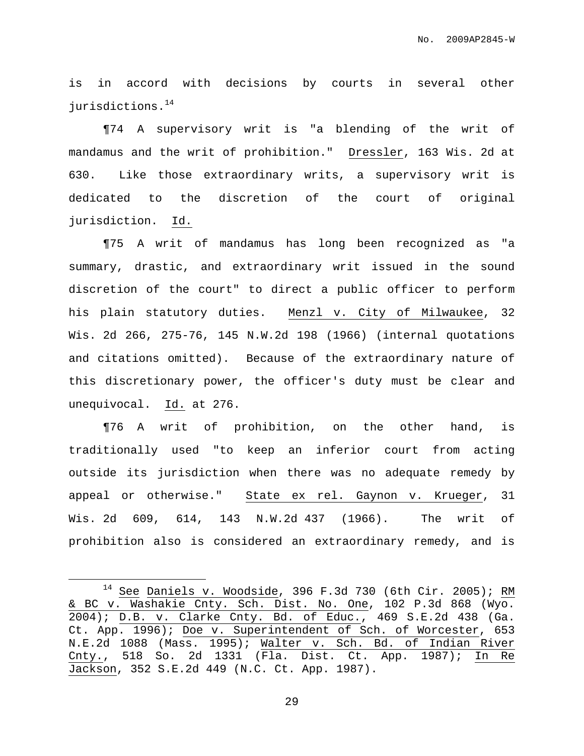is in accord with decisions by courts in several other jurisdictions. 14

¶74 A supervisory writ is "a blending of the writ of mandamus and the writ of prohibition." Dressler, 163 Wis. 2d at 630. Like those extraordinary writs, a supervisory writ is dedicated to the discretion of the court of original jurisdiction. Id.

¶75 A writ of mandamus has long been recognized as "a summary, drastic, and extraordinary writ issued in the sound discretion of the court" to direct a public officer to perform his plain statutory duties. Menzl v. City of Milwaukee, 32 Wis. 2d 266, 275-76, 145 N.W.2d 198 (1966) (internal quotations and citations omitted). Because of the extraordinary nature of this discretionary power, the officer's duty must be clear and unequivocal. Id. at 276.

¶76 A writ of prohibition, on the other hand, is traditionally used "to keep an inferior court from acting outside its jurisdiction when there was no adequate remedy by appeal or otherwise." State ex rel. Gaynon v. Krueger, 31 Wis. 2d 609, 614, 143 N.W.2d 437 (1966). The writ of prohibition also is considered an extraordinary remedy, and is

 $14$  See Daniels v. Woodside, 396 F.3d 730 (6th Cir. 2005); RM & BC v. Washakie Cnty. Sch. Dist. No. One, 102 P.3d 868 (Wyo. 2004); D.B. v. Clarke Cnty. Bd. of Educ., 469 S.E.2d 438 (Ga. Ct. App. 1996); Doe v. Superintendent of Sch. of Worcester, 653 N.E.2d 1088 (Mass. 1995); Walter v. Sch. Bd. of Indian River Cnty., 518 So. 2d 1331 (Fla. Dist. Ct. App. 1987); In Re Jackson, 352 S.E.2d 449 (N.C. Ct. App. 1987).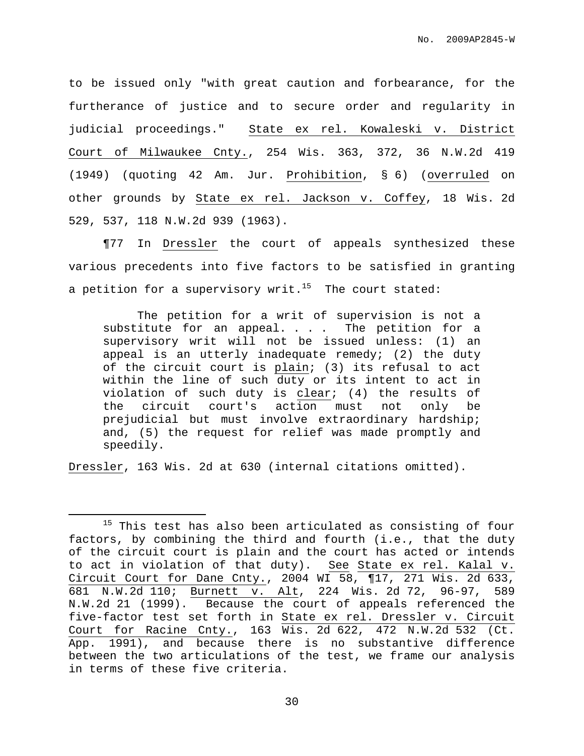to be issued only "with great caution and forbearance, for the furtherance of justice and to secure order and regularity in judicial proceedings." State ex rel. Kowaleski v. District Court of Milwaukee Cnty., 254 Wis. 363, 372, 36 N.W.2d 419 (1949) (quoting 42 Am. Jur. Prohibition, § 6) (overruled on other grounds by State ex rel. Jackson v. Coffey, 18 Wis. 2d 529, 537, 118 N.W.2d 939 (1963).

¶77 In Dressler the court of appeals synthesized these various precedents into five factors to be satisfied in granting a petition for a supervisory writ. $^{15}$  The court stated:

The petition for a writ of supervision is not a substitute for an appeal. . . . The petition for a supervisory writ will not be issued unless: (1) an appeal is an utterly inadequate remedy;  $(2)$  the duty of the circuit court is plain; (3) its refusal to act within the line of such duty or its intent to act in violation of such duty is clear; (4) the results of the circuit court's action must not only be prejudicial but must involve extraordinary hardship; and, (5) the request for relief was made promptly and speedily.

Dressler, 163 Wis. 2d at 630 (internal citations omitted).

<sup>&</sup>lt;sup>15</sup> This test has also been articulated as consisting of four factors, by combining the third and fourth (i.e., that the duty of the circuit court is plain and the court has acted or intends to act in violation of that duty). See State ex rel. Kalal v. Circuit Court for Dane Cnty., 2004 WI 58, ¶17, 271 Wis. 2d 633, 681 N.W.2d 110; Burnett v. Alt, 224 Wis. 2d 72, 96-97, 589 N.W.2d 21 (1999). Because the court of appeals referenced the five-factor test set forth in State ex rel. Dressler v. Circuit Court for Racine Cnty., 163 Wis. 2d 622, 472 N.W.2d 532 (Ct. App. 1991), and because there is no substantive difference between the two articulations of the test, we frame our analysis in terms of these five criteria.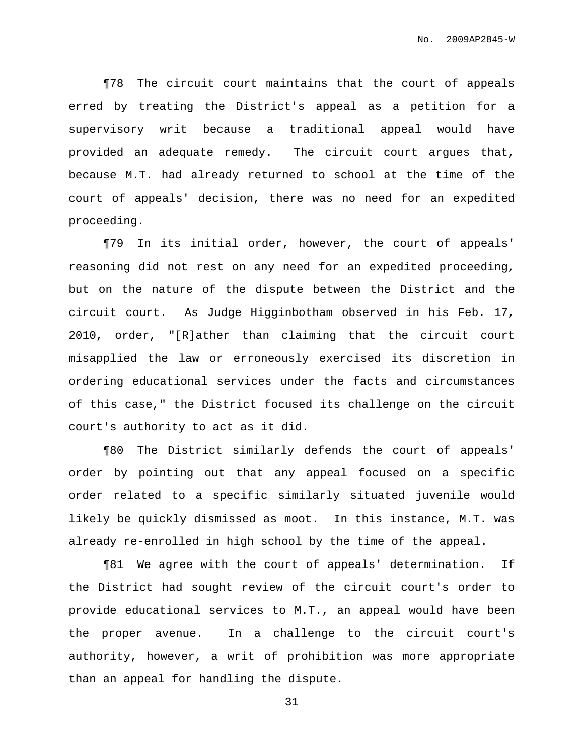¶78 The circuit court maintains that the court of appeals erred by treating the District's appeal as a petition for a supervisory writ because a traditional appeal would have provided an adequate remedy. The circuit court argues that, because M.T. had already returned to school at the time of the court of appeals' decision, there was no need for an expedited proceeding.

¶79 In its initial order, however, the court of appeals' reasoning did not rest on any need for an expedited proceeding, but on the nature of the dispute between the District and the circuit court. As Judge Higginbotham observed in his Feb. 17, 2010, order, "[R]ather than claiming that the circuit court misapplied the law or erroneously exercised its discretion in ordering educational services under the facts and circumstances of this case," the District focused its challenge on the circuit court's authority to act as it did.

¶80 The District similarly defends the court of appeals' order by pointing out that any appeal focused on a specific order related to a specific similarly situated juvenile would likely be quickly dismissed as moot. In this instance, M.T. was already re-enrolled in high school by the time of the appeal.

¶81 We agree with the court of appeals' determination. If the District had sought review of the circuit court's order to provide educational services to M.T., an appeal would have been the proper avenue. In a challenge to the circuit court's authority, however, a writ of prohibition was more appropriate than an appeal for handling the dispute.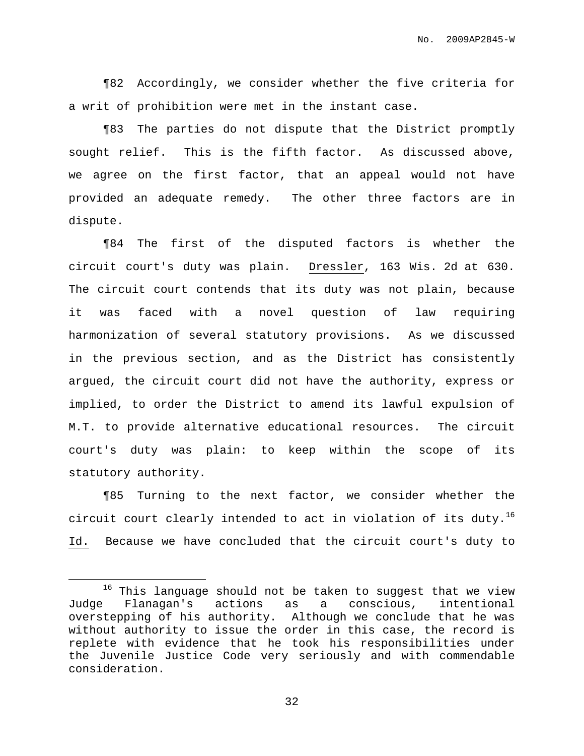¶82 Accordingly, we consider whether the five criteria for a writ of prohibition were met in the instant case.

¶83 The parties do not dispute that the District promptly sought relief. This is the fifth factor. As discussed above, we agree on the first factor, that an appeal would not have provided an adequate remedy. The other three factors are in dispute.

¶84 The first of the disputed factors is whether the circuit court's duty was plain. Dressler, 163 Wis. 2d at 630. The circuit court contends that its duty was not plain, because it was faced with a novel question of law requiring harmonization of several statutory provisions. As we discussed in the previous section, and as the District has consistently argued, the circuit court did not have the authority, express or implied, to order the District to amend its lawful expulsion of M.T. to provide alternative educational resources. The circuit court's duty was plain: to keep within the scope of its statutory authority.

¶85 Turning to the next factor, we consider whether the circuit court clearly intended to act in violation of its duty. $^{16}$ Id. Because we have concluded that the circuit court's duty to

 $16$  This language should not be taken to suggest that we view Judge Flanagan's actions as a conscious, intentional overstepping of his authority. Although we conclude that he was without authority to issue the order in this case, the record is replete with evidence that he took his responsibilities under the Juvenile Justice Code very seriously and with commendable consideration.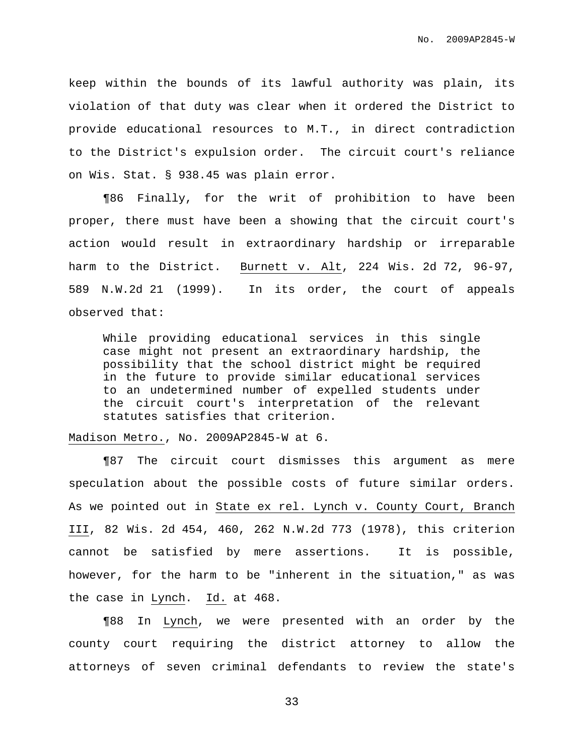keep within the bounds of its lawful authority was plain, its violation of that duty was clear when it ordered the District to provide educational resources to M.T., in direct contradiction to the District's expulsion order. The circuit court's reliance on Wis. Stat. § 938.45 was plain error.

¶86 Finally, for the writ of prohibition to have been proper, there must have been a showing that the circuit court's action would result in extraordinary hardship or irreparable harm to the District. Burnett v. Alt, 224 Wis. 2d 72, 96-97, 589 N.W.2d 21 (1999). In its order, the court of appeals observed that:

While providing educational services in this single case might not present an extraordinary hardship, the possibility that the school district might be required in the future to provide similar educational services to an undetermined number of expelled students under the circuit court's interpretation of the relevant statutes satisfies that criterion.

Madison Metro., No. 2009AP2845-W at 6.

¶87 The circuit court dismisses this argument as mere speculation about the possible costs of future similar orders. As we pointed out in State ex rel. Lynch v. County Court, Branch III, 82 Wis. 2d 454, 460, 262 N.W.2d 773 (1978), this criterion cannot be satisfied by mere assertions. It is possible, however, for the harm to be "inherent in the situation," as was the case in Lynch. Id. at 468.

¶88 In Lynch, we were presented with an order by the county court requiring the district attorney to allow the attorneys of seven criminal defendants to review the state's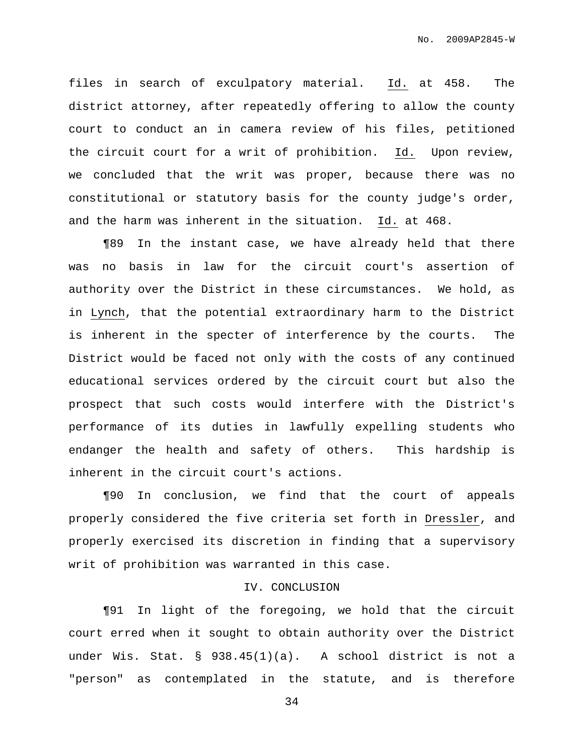files in search of exculpatory material. Id. at 458. The district attorney, after repeatedly offering to allow the county court to conduct an in camera review of his files, petitioned the circuit court for a writ of prohibition. Id. Upon review, we concluded that the writ was proper, because there was no constitutional or statutory basis for the county judge's order, and the harm was inherent in the situation. Id. at 468.

¶89 In the instant case, we have already held that there was no basis in law for the circuit court's assertion of authority over the District in these circumstances. We hold, as in Lynch, that the potential extraordinary harm to the District is inherent in the specter of interference by the courts. The District would be faced not only with the costs of any continued educational services ordered by the circuit court but also the prospect that such costs would interfere with the District's performance of its duties in lawfully expelling students who endanger the health and safety of others. This hardship is inherent in the circuit court's actions.

¶90 In conclusion, we find that the court of appeals properly considered the five criteria set forth in Dressler, and properly exercised its discretion in finding that a supervisory writ of prohibition was warranted in this case.

## IV. CONCLUSION

¶91 In light of the foregoing, we hold that the circuit court erred when it sought to obtain authority over the District under Wis. Stat. § 938.45(1)(a). A school district is not a "person" as contemplated in the statute, and is therefore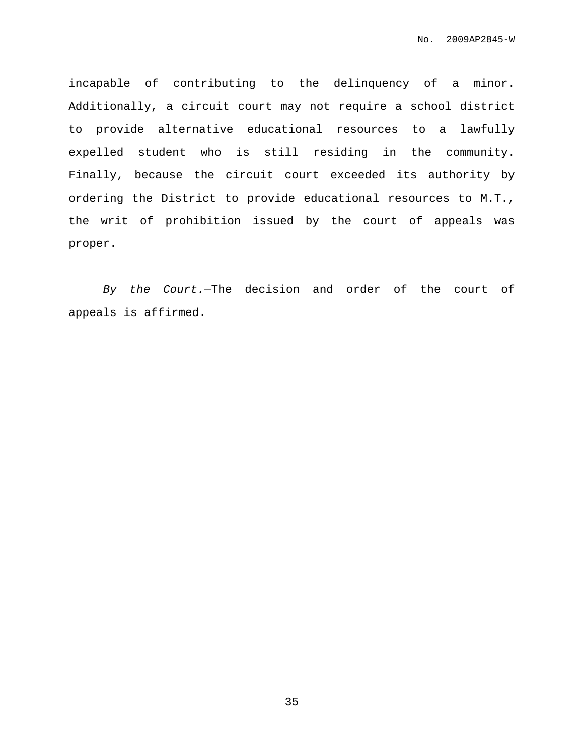incapable of contributing to the delinquency of a minor. Additionally, a circuit court may not require a school district to provide alternative educational resources to a lawfully expelled student who is still residing in the community. Finally, because the circuit court exceeded its authority by ordering the District to provide educational resources to M.T., the writ of prohibition issued by the court of appeals was proper.

By the Court.—The decision and order of the court of appeals is affirmed.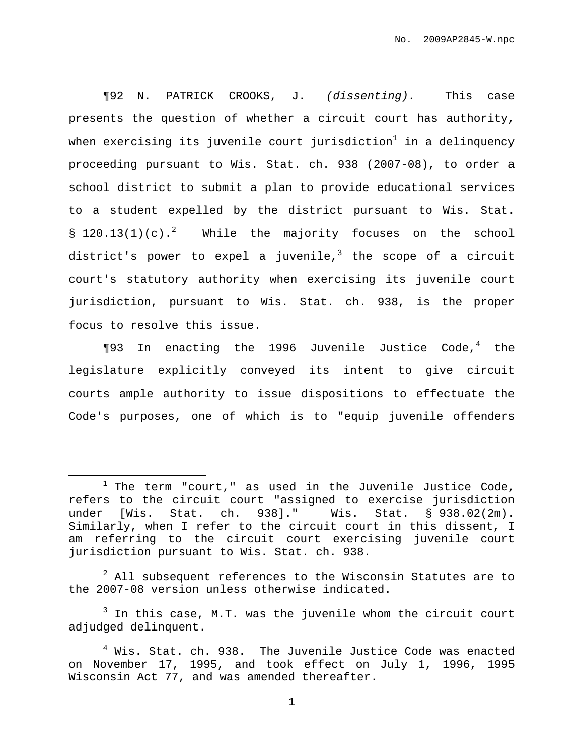¶92 N. PATRICK CROOKS, J. (dissenting). This case presents the question of whether a circuit court has authority, when exercising its juvenile court jurisdiction $^1$  in a delinquency proceeding pursuant to Wis. Stat. ch. 938 (2007-08), to order a school district to submit a plan to provide educational services to a student expelled by the district pursuant to Wis. Stat. §  $120.13(1)(c)$ .<sup>2</sup> While the majority focuses on the school district's power to expel a juvenile,<sup>3</sup> the scope of a circuit court's statutory authority when exercising its juvenile court jurisdiction, pursuant to Wis. Stat. ch. 938, is the proper focus to resolve this issue.

¶93 In enacting the 1996 Juvenile Justice Code, <sup>4</sup> the legislature explicitly conveyed its intent to give circuit courts ample authority to issue dispositions to effectuate the Code's purposes, one of which is to "equip juvenile offenders

 $2$  All subsequent references to the Wisconsin Statutes are to the 2007-08 version unless otherwise indicated.

 $3$  In this case, M.T. was the juvenile whom the circuit court adjudged delinquent.

 $1$  The term "court," as used in the Juvenile Justice Code, refers to the circuit court "assigned to exercise jurisdiction under [Wis. Stat. ch. 938]." Wis. Stat. § 938.02(2m). Similarly, when I refer to the circuit court in this dissent, I am referring to the circuit court exercising juvenile court jurisdiction pursuant to Wis. Stat. ch. 938.

 $4$  Wis. Stat. ch. 938. The Juvenile Justice Code was enacted on November 17, 1995, and took effect on July 1, 1996, 1995 Wisconsin Act 77, and was amended thereafter.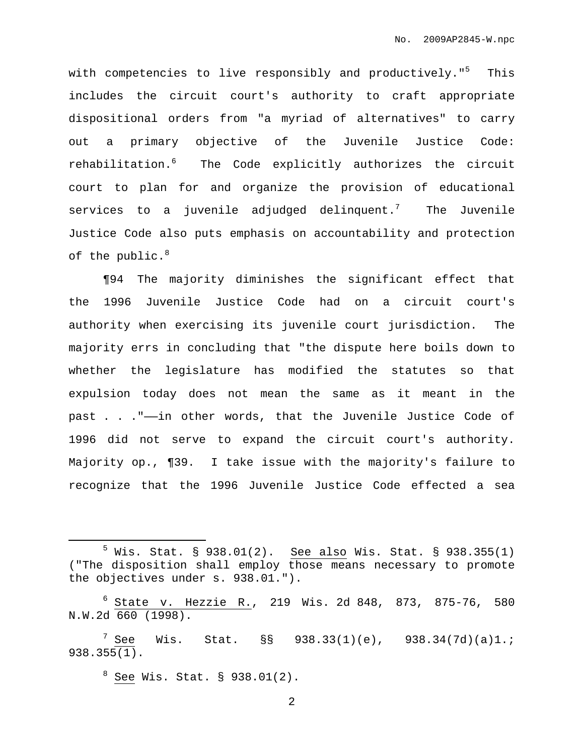with competencies to live responsibly and productively."<sup>5</sup> This includes the circuit court's authority to craft appropriate dispositional orders from "a myriad of alternatives" to carry out a primary objective of the Juvenile Justice Code: rehabilitation. <sup>6</sup> The Code explicitly authorizes the circuit court to plan for and organize the provision of educational services to a juvenile adjudged delinquent. $^7\,$  The Juvenile Justice Code also puts emphasis on accountability and protection of the public. $^8$ 

¶94 The majority diminishes the significant effect that the 1996 Juvenile Justice Code had on a circuit court's authority when exercising its juvenile court jurisdiction. The majority errs in concluding that "the dispute here boils down to whether the legislature has modified the statutes so that expulsion today does not mean the same as it meant in the past . . ."——in other words, that the Juvenile Justice Code of 1996 did not serve to expand the circuit court's authority. Majority op., ¶39. I take issue with the majority's failure to recognize that the 1996 Juvenile Justice Code effected a sea

<sup>8</sup> See Wis. Stat. § 938.01(2).

 $5$  Wis. Stat. § 938.01(2). See also Wis. Stat. § 938.355(1) ("The disposition shall employ those means necessary to promote the objectives under s. 938.01.").

<sup>6</sup> State v. Hezzie R., 219 Wis. 2d 848, 873, 875-76, 580 N.W.2d 660 (1998).

 $7$  See Wis. Stat. §§ 938.33(1)(e), 938.34(7d)(a)1.; 938.355(1).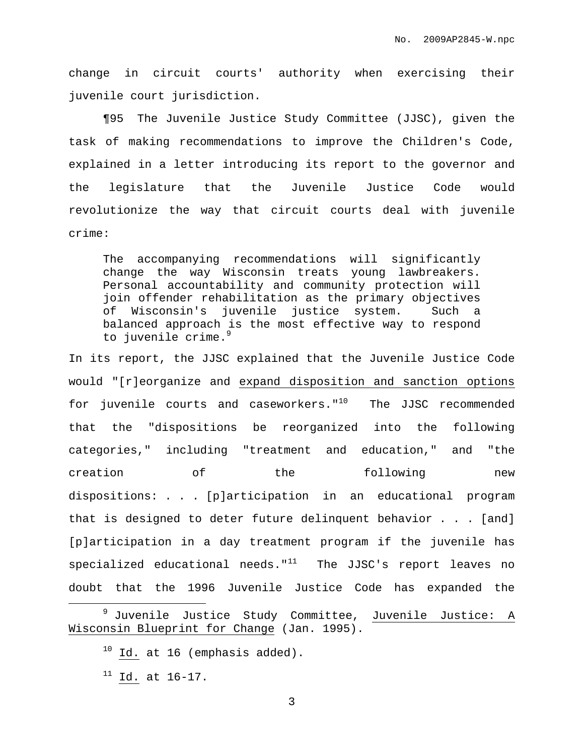change in circuit courts' authority when exercising their juvenile court jurisdiction.

¶95 The Juvenile Justice Study Committee (JJSC), given the task of making recommendations to improve the Children's Code, explained in a letter introducing its report to the governor and the legislature that the Juvenile Justice Code would revolutionize the way that circuit courts deal with juvenile crime:

The accompanying recommendations will significantly change the way Wisconsin treats young lawbreakers. Personal accountability and community protection will join offender rehabilitation as the primary objectives of Wisconsin's juvenile justice system. Such a balanced approach is the most effective way to respond to juvenile crime. 9

In its report, the JJSC explained that the Juvenile Justice Code would "[r]eorganize and expand disposition and sanction options for juvenile courts and caseworkers."<sup>10</sup> The JJSC recommended that the "dispositions be reorganized into the following categories," including "treatment and education," and "the creation of the following new dispositions: . . . [p]articipation in an educational program that is designed to deter future delinquent behavior . . . [and] [p]articipation in a day treatment program if the juvenile has specialized educational needs." $^{11}$  The JJSC's report leaves no doubt that the 1996 Juvenile Justice Code has expanded the

<sup>&</sup>lt;sup>9</sup> Juvenile Justice Study Committee, Juvenile Justice: A Wisconsin Blueprint for Change (Jan. 1995).

 $10$  Id. at 16 (emphasis added).

 $11$  Id. at 16-17.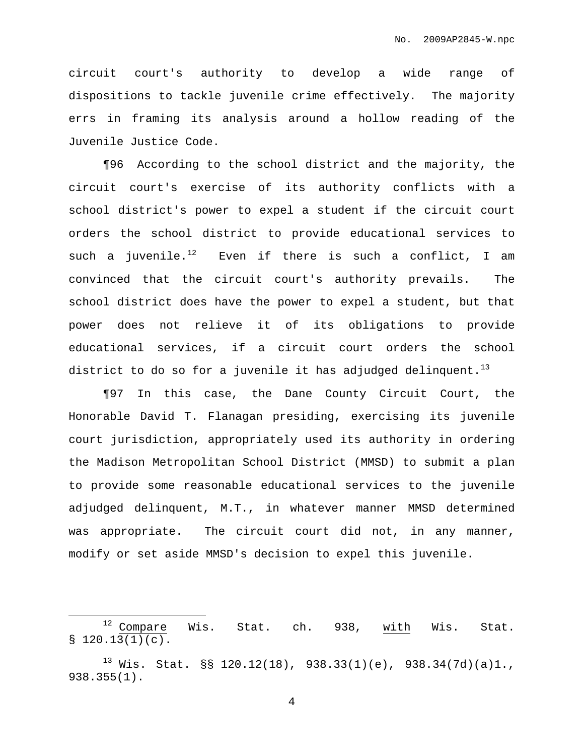circuit court's authority to develop a wide range of dispositions to tackle juvenile crime effectively. The majority errs in framing its analysis around a hollow reading of the Juvenile Justice Code.

¶96 According to the school district and the majority, the circuit court's exercise of its authority conflicts with a school district's power to expel a student if the circuit court orders the school district to provide educational services to such a juvenile.<sup>12</sup> Even if there is such a conflict, I am convinced that the circuit court's authority prevails. The school district does have the power to expel a student, but that power does not relieve it of its obligations to provide educational services, if a circuit court orders the school district to do so for a juvenile it has adjudged delinquent. $^{\rm 13}$ 

¶97 In this case, the Dane County Circuit Court, the Honorable David T. Flanagan presiding, exercising its juvenile court jurisdiction, appropriately used its authority in ordering the Madison Metropolitan School District (MMSD) to submit a plan to provide some reasonable educational services to the juvenile adjudged delinquent, M.T., in whatever manner MMSD determined was appropriate. The circuit court did not, in any manner, modify or set aside MMSD's decision to expel this juvenile.

<sup>&</sup>lt;sup>12</sup> Compare Wis. Stat. ch. 938, with Wis. Stat.  $$120.13(1)(c).$ 

<sup>&</sup>lt;sup>13</sup> Wis. Stat. §§ 120.12(18), 938.33(1)(e), 938.34(7d)(a)1., 938.355(1).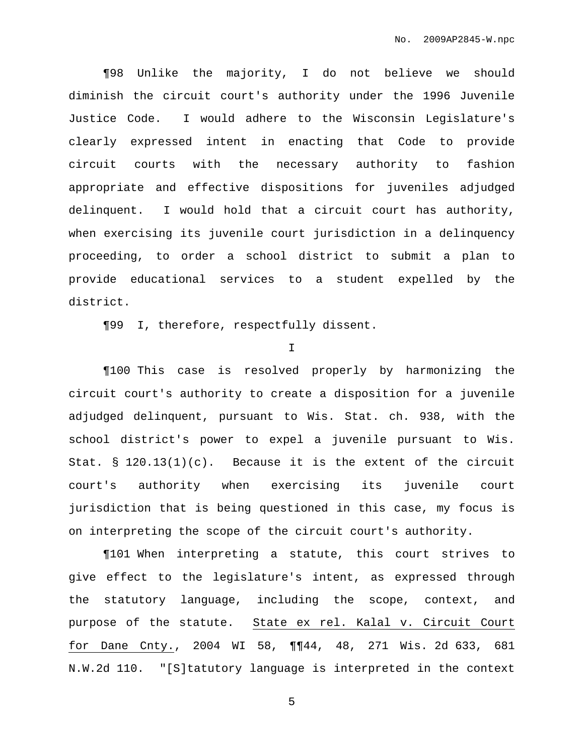¶98 Unlike the majority, I do not believe we should diminish the circuit court's authority under the 1996 Juvenile Justice Code. I would adhere to the Wisconsin Legislature's clearly expressed intent in enacting that Code to provide circuit courts with the necessary authority to fashion appropriate and effective dispositions for juveniles adjudged delinquent. I would hold that a circuit court has authority, when exercising its juvenile court jurisdiction in a delinquency proceeding, to order a school district to submit a plan to provide educational services to a student expelled by the district.

¶99 I, therefore, respectfully dissent.

I

¶100 This case is resolved properly by harmonizing the circuit court's authority to create a disposition for a juvenile adjudged delinquent, pursuant to Wis. Stat. ch. 938, with the school district's power to expel a juvenile pursuant to Wis. Stat. §  $120.13(1)(c)$ . Because it is the extent of the circuit court's authority when exercising its juvenile court jurisdiction that is being questioned in this case, my focus is on interpreting the scope of the circuit court's authority.

¶101 When interpreting a statute, this court strives to give effect to the legislature's intent, as expressed through the statutory language, including the scope, context, and purpose of the statute. State ex rel. Kalal v. Circuit Court for Dane Cnty., 2004 WI 58, ¶¶44, 48, 271 Wis. 2d 633, 681 N.W.2d 110. "[S]tatutory language is interpreted in the context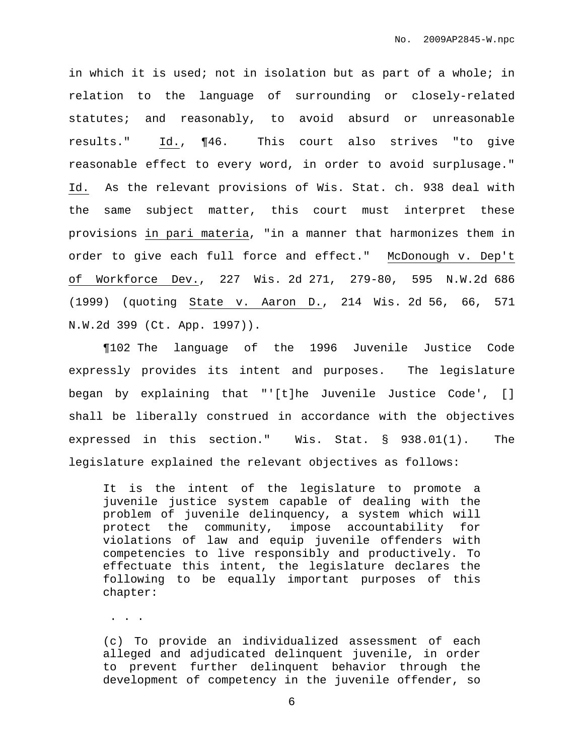in which it is used; not in isolation but as part of a whole; in relation to the language of surrounding or closely-related statutes; and reasonably, to avoid absurd or unreasonable results." Id., ¶46. This court also strives "to give reasonable effect to every word, in order to avoid surplusage." Id. As the relevant provisions of Wis. Stat. ch. 938 deal with the same subject matter, this court must interpret these provisions in pari materia, "in a manner that harmonizes them in order to give each full force and effect." McDonough v. Dep't of Workforce Dev., 227 Wis. 2d 271, 279-80, 595 N.W.2d 686 (1999) (quoting State v. Aaron D., 214 Wis. 2d 56, 66, 571 N.W.2d 399 (Ct. App. 1997)).

¶102 The language of the 1996 Juvenile Justice Code expressly provides its intent and purposes. The legislature began by explaining that "'[t]he Juvenile Justice Code', [] shall be liberally construed in accordance with the objectives expressed in this section." Wis. Stat. § 938.01(1). The legislature explained the relevant objectives as follows:

It is the intent of the legislature to promote a juvenile justice system capable of dealing with the problem of juvenile delinquency, a system which will protect the community, impose accountability for violations of law and equip juvenile offenders with competencies to live responsibly and productively. To effectuate this intent, the legislature declares the following to be equally important purposes of this chapter:

. . .

(c) To provide an individualized assessment of each alleged and adjudicated delinquent juvenile, in order to prevent further delinquent behavior through the development of competency in the juvenile offender, so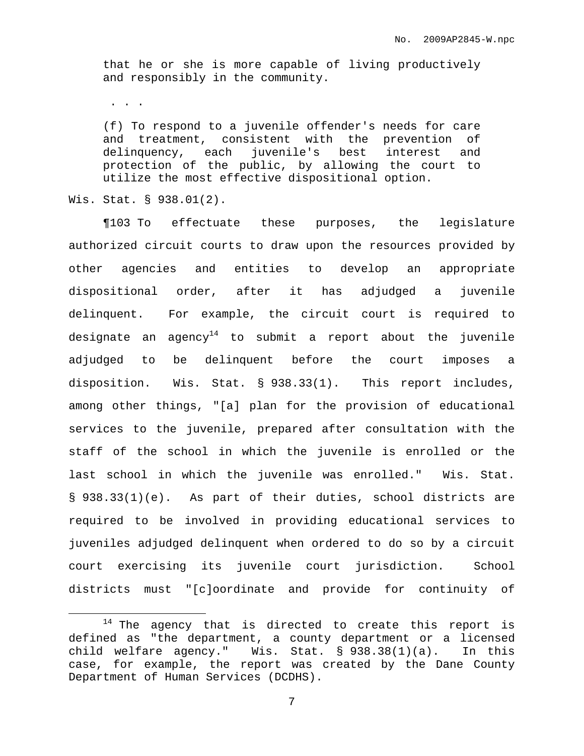that he or she is more capable of living productively and responsibly in the community.

. . .

(f) To respond to a juvenile offender's needs for care and treatment, consistent with the prevention of delinquency, each juvenile's best interest and protection of the public, by allowing the court to utilize the most effective dispositional option.

Wis. Stat. § 938.01(2).

¶103 To effectuate these purposes, the legislature authorized circuit courts to draw upon the resources provided by other agencies and entities to develop an appropriate dispositional order, after it has adjudged a juvenile delinquent. For example, the circuit court is required to designate an agency $^{14}$  to submit a report about the juvenile adjudged to be delinquent before the court imposes a disposition. Wis. Stat. § 938.33(1). This report includes, among other things, "[a] plan for the provision of educational services to the juvenile, prepared after consultation with the staff of the school in which the juvenile is enrolled or the last school in which the juvenile was enrolled." Wis. Stat. § 938.33(1)(e). As part of their duties, school districts are required to be involved in providing educational services to juveniles adjudged delinquent when ordered to do so by a circuit court exercising its juvenile court jurisdiction. School districts must "[c]oordinate and provide for continuity of

 $14$  The agency that is directed to create this report is defined as "the department, a county department or a licensed child welfare agency." Wis. Stat. § 938.38(1)(a). In this case, for example, the report was created by the Dane County Department of Human Services (DCDHS).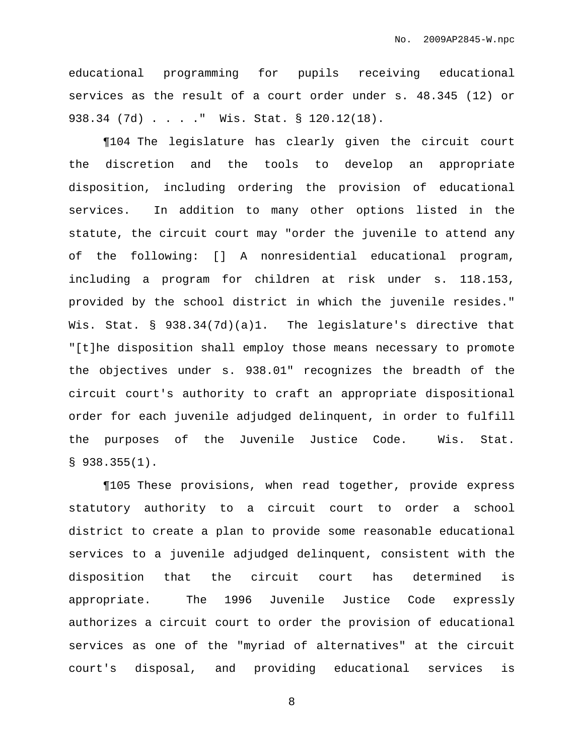educational programming for pupils receiving educational services as the result of a court order under s. 48.345 (12) or 938.34 (7d) . . . ." Wis. Stat. § 120.12(18).

¶104 The legislature has clearly given the circuit court the discretion and the tools to develop an appropriate disposition, including ordering the provision of educational services. In addition to many other options listed in the statute, the circuit court may "order the juvenile to attend any of the following: [] A nonresidential educational program, including a program for children at risk under s. 118.153, provided by the school district in which the juvenile resides." Wis. Stat. § 938.34(7d)(a)1. The legislature's directive that "[t]he disposition shall employ those means necessary to promote the objectives under s. 938.01" recognizes the breadth of the circuit court's authority to craft an appropriate dispositional order for each juvenile adjudged delinquent, in order to fulfill the purposes of the Juvenile Justice Code. Wis. Stat.  $$938.355(1)$ .

¶105 These provisions, when read together, provide express statutory authority to a circuit court to order a school district to create a plan to provide some reasonable educational services to a juvenile adjudged delinquent, consistent with the disposition that the circuit court has determined is appropriate. The 1996 Juvenile Justice Code expressly authorizes a circuit court to order the provision of educational services as one of the "myriad of alternatives" at the circuit court's disposal, and providing educational services is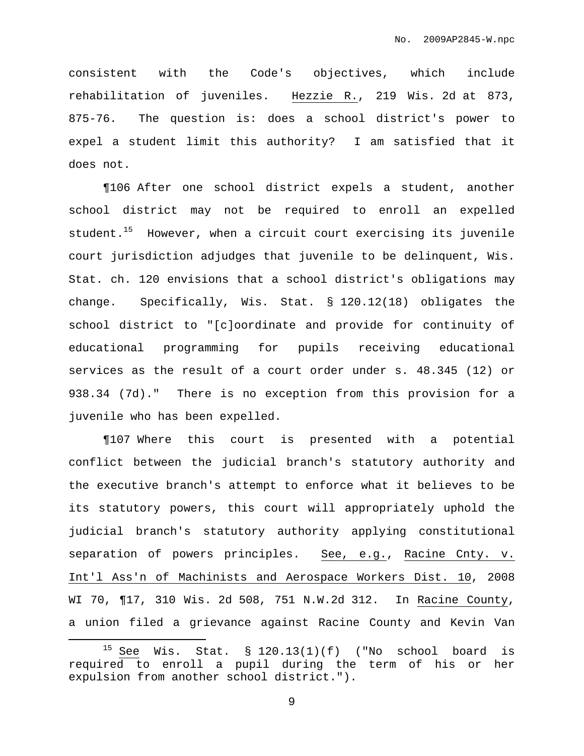consistent with the Code's objectives, which include rehabilitation of juveniles. Hezzie R., 219 Wis. 2d at 873, 875-76. The question is: does a school district's power to expel a student limit this authority? I am satisfied that it does not.

¶106 After one school district expels a student, another school district may not be required to enroll an expelled student. <sup>15</sup> However, when a circuit court exercising its juvenile court jurisdiction adjudges that juvenile to be delinquent, Wis. Stat. ch. 120 envisions that a school district's obligations may change. Specifically, Wis. Stat. § 120.12(18) obligates the school district to "[c]oordinate and provide for continuity of educational programming for pupils receiving educational services as the result of a court order under s. 48.345 (12) or 938.34 (7d)." There is no exception from this provision for a juvenile who has been expelled.

¶107 Where this court is presented with a potential conflict between the judicial branch's statutory authority and the executive branch's attempt to enforce what it believes to be its statutory powers, this court will appropriately uphold the judicial branch's statutory authority applying constitutional separation of powers principles. See, e.g., Racine Cnty. v. Int'l Ass'n of Machinists and Aerospace Workers Dist. 10, 2008 WI 70, ¶17, 310 Wis. 2d 508, 751 N.W.2d 312. In Racine County, a union filed a grievance against Racine County and Kevin Van

<sup>&</sup>lt;sup>15</sup> See Wis. Stat. § 120.13(1)(f) ("No school board is required to enroll a pupil during the term of his or her expulsion from another school district.").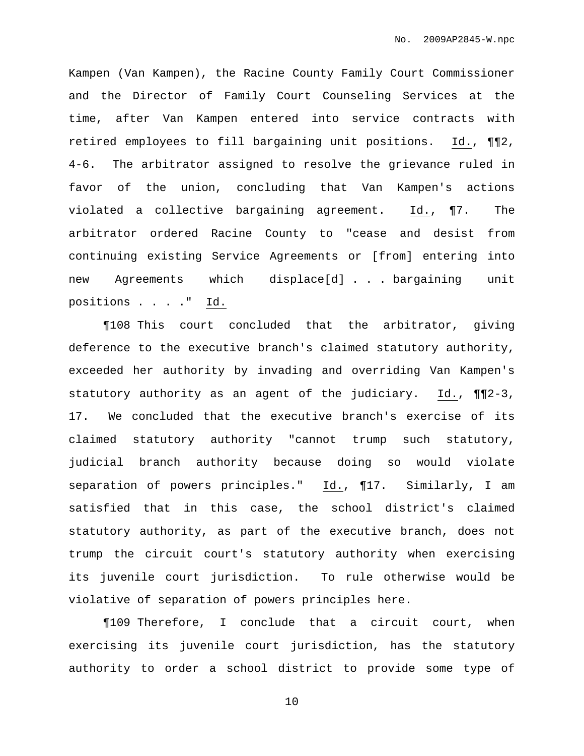Kampen (Van Kampen), the Racine County Family Court Commissioner and the Director of Family Court Counseling Services at the time, after Van Kampen entered into service contracts with retired employees to fill bargaining unit positions. Id., ¶¶2, 4-6. The arbitrator assigned to resolve the grievance ruled in favor of the union, concluding that Van Kampen's actions violated a collective bargaining agreement. Id., ¶7. The arbitrator ordered Racine County to "cease and desist from continuing existing Service Agreements or [from] entering into new Agreements which displace[d] . . . bargaining unit positions . . . ." Id.

¶108 This court concluded that the arbitrator, giving deference to the executive branch's claimed statutory authority, exceeded her authority by invading and overriding Van Kampen's statutory authority as an agent of the judiciary. Id., ¶¶2-3, 17. We concluded that the executive branch's exercise of its claimed statutory authority "cannot trump such statutory, judicial branch authority because doing so would violate separation of powers principles." Id., ¶17. Similarly, I am satisfied that in this case, the school district's claimed statutory authority, as part of the executive branch, does not trump the circuit court's statutory authority when exercising its juvenile court jurisdiction. To rule otherwise would be violative of separation of powers principles here.

¶109 Therefore, I conclude that a circuit court, when exercising its juvenile court jurisdiction, has the statutory authority to order a school district to provide some type of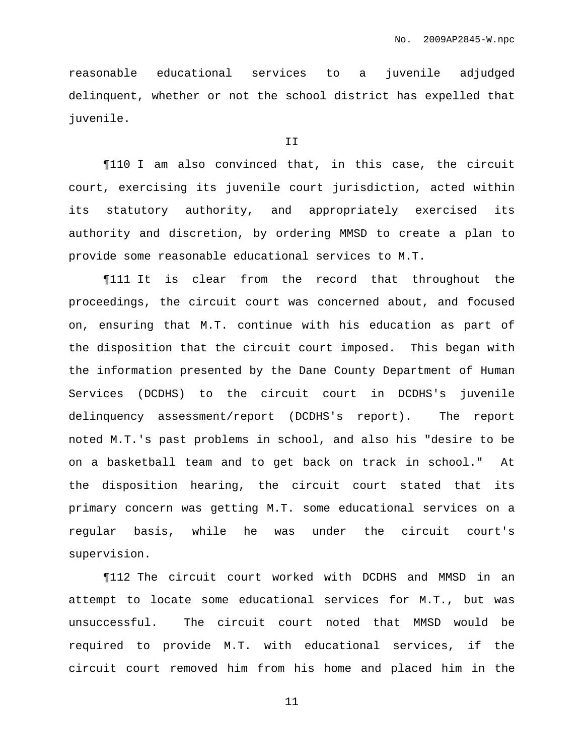reasonable educational services to a juvenile adjudged delinquent, whether or not the school district has expelled that juvenile.

#### T<sub>T</sub>

¶110 I am also convinced that, in this case, the circuit court, exercising its juvenile court jurisdiction, acted within its statutory authority, and appropriately exercised its authority and discretion, by ordering MMSD to create a plan to provide some reasonable educational services to M.T.

¶111 It is clear from the record that throughout the proceedings, the circuit court was concerned about, and focused on, ensuring that M.T. continue with his education as part of the disposition that the circuit court imposed. This began with the information presented by the Dane County Department of Human Services (DCDHS) to the circuit court in DCDHS's juvenile delinquency assessment/report (DCDHS's report). The report noted M.T.'s past problems in school, and also his "desire to be on a basketball team and to get back on track in school." At the disposition hearing, the circuit court stated that its primary concern was getting M.T. some educational services on a regular basis, while he was under the circuit court's supervision.

¶112 The circuit court worked with DCDHS and MMSD in an attempt to locate some educational services for M.T., but was unsuccessful. The circuit court noted that MMSD would be required to provide M.T. with educational services, if the circuit court removed him from his home and placed him in the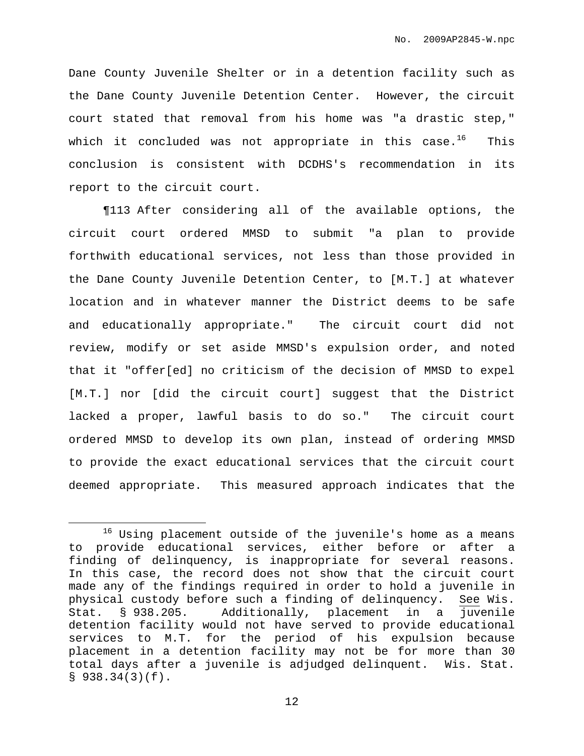Dane County Juvenile Shelter or in a detention facility such as the Dane County Juvenile Detention Center. However, the circuit court stated that removal from his home was "a drastic step," which it concluded was not appropriate in this case. $^{16}$  This conclusion is consistent with DCDHS's recommendation in its report to the circuit court.

¶113 After considering all of the available options, the circuit court ordered MMSD to submit "a plan to provide forthwith educational services, not less than those provided in the Dane County Juvenile Detention Center, to [M.T.] at whatever location and in whatever manner the District deems to be safe and educationally appropriate." The circuit court did not review, modify or set aside MMSD's expulsion order, and noted that it "offer[ed] no criticism of the decision of MMSD to expel [M.T.] nor [did the circuit court] suggest that the District lacked a proper, lawful basis to do so." The circuit court ordered MMSD to develop its own plan, instead of ordering MMSD to provide the exact educational services that the circuit court deemed appropriate. This measured approach indicates that the

<sup>16</sup> Using placement outside of the juvenile's home as a means to provide educational services, either before or after a finding of delinquency, is inappropriate for several reasons. In this case, the record does not show that the circuit court made any of the findings required in order to hold a juvenile in physical custody before such a finding of delinquency. See Wis. Stat. § 938.205. Additionally, placement in a juvenile detention facility would not have served to provide educational services to M.T. for the period of his expulsion because placement in a detention facility may not be for more than 30 total days after a juvenile is adjudged delinquent. Wis. Stat.  $$938.34(3)(f).$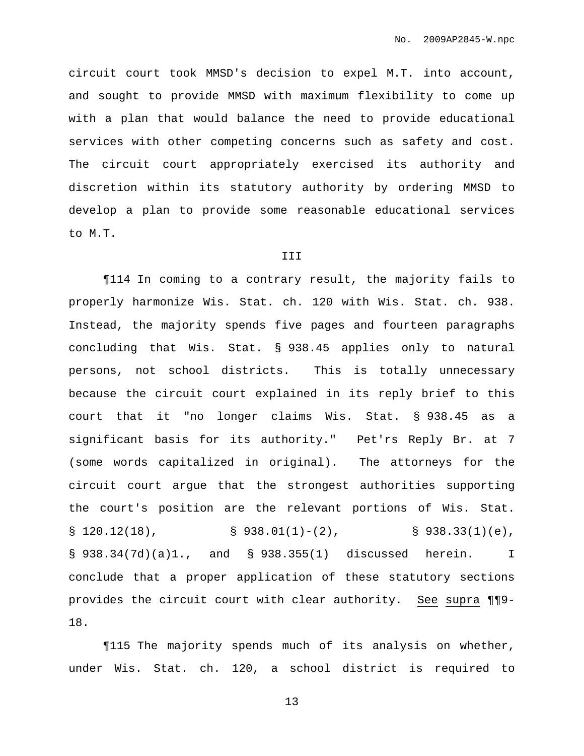circuit court took MMSD's decision to expel M.T. into account, and sought to provide MMSD with maximum flexibility to come up with a plan that would balance the need to provide educational services with other competing concerns such as safety and cost. The circuit court appropriately exercised its authority and discretion within its statutory authority by ordering MMSD to develop a plan to provide some reasonable educational services to M.T.

#### III

¶114 In coming to a contrary result, the majority fails to properly harmonize Wis. Stat. ch. 120 with Wis. Stat. ch. 938. Instead, the majority spends five pages and fourteen paragraphs concluding that Wis. Stat. § 938.45 applies only to natural persons, not school districts. This is totally unnecessary because the circuit court explained in its reply brief to this court that it "no longer claims Wis. Stat. § 938.45 as a significant basis for its authority." Pet'rs Reply Br. at 7 (some words capitalized in original). The attorneys for the circuit court argue that the strongest authorities supporting the court's position are the relevant portions of Wis. Stat.  $\S$  120.12(18),  $\S$  938.01(1)-(2),  $\S$  938.33(1)(e), § 938.34(7d)(a)1., and § 938.355(1) discussed herein. I conclude that a proper application of these statutory sections provides the circuit court with clear authority. See supra ¶¶9- 18.

¶115 The majority spends much of its analysis on whether, under Wis. Stat. ch. 120, a school district is required to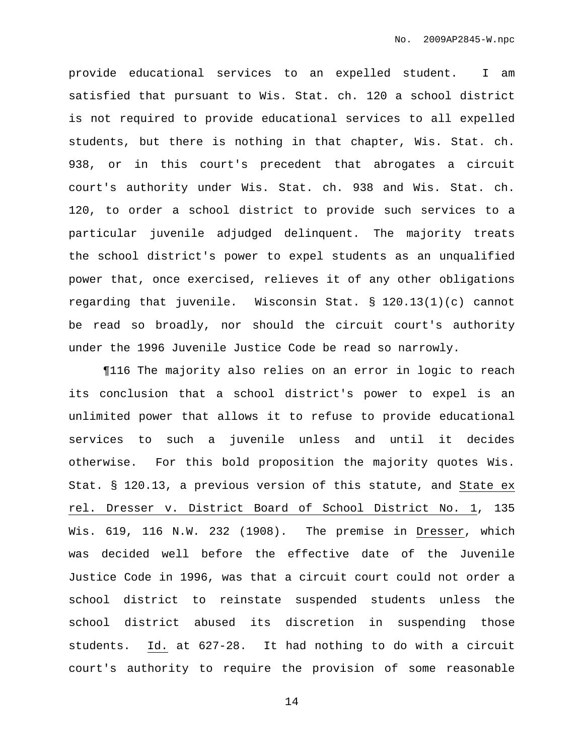provide educational services to an expelled student. I am satisfied that pursuant to Wis. Stat. ch. 120 a school district is not required to provide educational services to all expelled students, but there is nothing in that chapter, Wis. Stat. ch. 938, or in this court's precedent that abrogates a circuit court's authority under Wis. Stat. ch. 938 and Wis. Stat. ch. 120, to order a school district to provide such services to a particular juvenile adjudged delinquent. The majority treats the school district's power to expel students as an unqualified power that, once exercised, relieves it of any other obligations regarding that juvenile. Wisconsin Stat. § 120.13(1)(c) cannot be read so broadly, nor should the circuit court's authority under the 1996 Juvenile Justice Code be read so narrowly.

¶116 The majority also relies on an error in logic to reach its conclusion that a school district's power to expel is an unlimited power that allows it to refuse to provide educational services to such a juvenile unless and until it decides otherwise. For this bold proposition the majority quotes Wis. Stat. § 120.13, a previous version of this statute, and State ex rel. Dresser v. District Board of School District No. 1, 135 Wis. 619, 116 N.W. 232 (1908). The premise in Dresser, which was decided well before the effective date of the Juvenile Justice Code in 1996, was that a circuit court could not order a school district to reinstate suspended students unless the school district abused its discretion in suspending those students. Id. at 627-28. It had nothing to do with a circuit court's authority to require the provision of some reasonable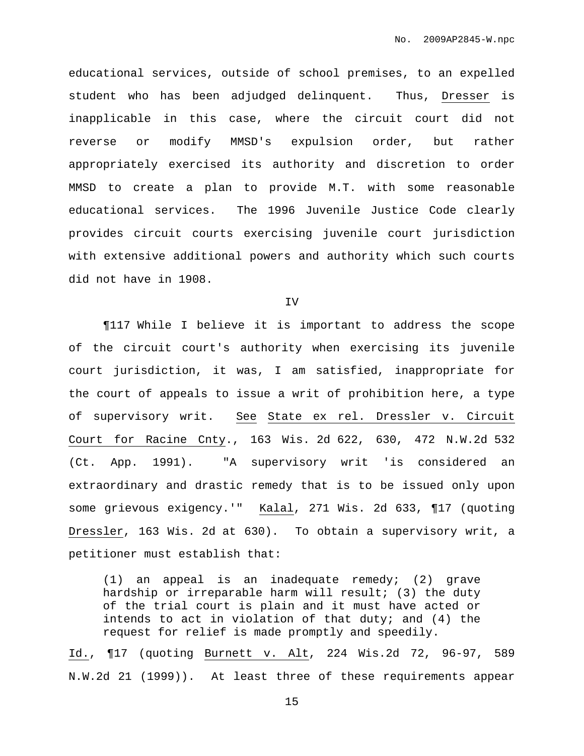educational services, outside of school premises, to an expelled student who has been adjudged delinquent. Thus, Dresser is inapplicable in this case, where the circuit court did not reverse or modify MMSD's expulsion order, but rather appropriately exercised its authority and discretion to order MMSD to create a plan to provide M.T. with some reasonable educational services. The 1996 Juvenile Justice Code clearly provides circuit courts exercising juvenile court jurisdiction with extensive additional powers and authority which such courts did not have in 1908.

IV

¶117 While I believe it is important to address the scope of the circuit court's authority when exercising its juvenile court jurisdiction, it was, I am satisfied, inappropriate for the court of appeals to issue a writ of prohibition here, a type of supervisory writ. See State ex rel. Dressler v. Circuit Court for Racine Cnty., 163 Wis. 2d 622, 630, 472 N.W.2d 532 (Ct. App. 1991). "A supervisory writ 'is considered an extraordinary and drastic remedy that is to be issued only upon some grievous exigency.'" Kalal, 271 Wis. 2d 633, ¶17 (quoting Dressler, 163 Wis. 2d at 630). To obtain a supervisory writ, a petitioner must establish that:

(1) an appeal is an inadequate remedy; (2) grave hardship or irreparable harm will result; (3) the duty of the trial court is plain and it must have acted or intends to act in violation of that duty; and  $(4)$  the request for relief is made promptly and speedily.

Id., ¶17 (quoting Burnett v. Alt, 224 Wis.2d 72, 96-97, 589 N.W.2d 21 (1999)). At least three of these requirements appear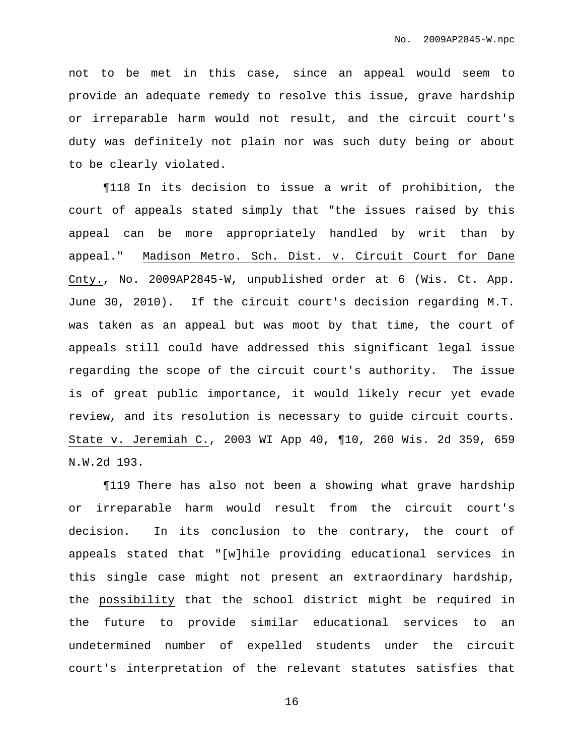not to be met in this case, since an appeal would seem to provide an adequate remedy to resolve this issue, grave hardship or irreparable harm would not result, and the circuit court's duty was definitely not plain nor was such duty being or about to be clearly violated.

¶118 In its decision to issue a writ of prohibition, the court of appeals stated simply that "the issues raised by this appeal can be more appropriately handled by writ than by appeal." Madison Metro. Sch. Dist. v. Circuit Court for Dane Cnty., No. 2009AP2845-W, unpublished order at 6 (Wis. Ct. App. June 30, 2010). If the circuit court's decision regarding M.T. was taken as an appeal but was moot by that time, the court of appeals still could have addressed this significant legal issue regarding the scope of the circuit court's authority. The issue is of great public importance, it would likely recur yet evade review, and its resolution is necessary to guide circuit courts. State v. Jeremiah C., 2003 WI App 40, ¶10, 260 Wis. 2d 359, 659 N.W.2d 193.

¶119 There has also not been a showing what grave hardship or irreparable harm would result from the circuit court's decision. In its conclusion to the contrary, the court of appeals stated that "[w]hile providing educational services in this single case might not present an extraordinary hardship, the possibility that the school district might be required in the future to provide similar educational services to an undetermined number of expelled students under the circuit court's interpretation of the relevant statutes satisfies that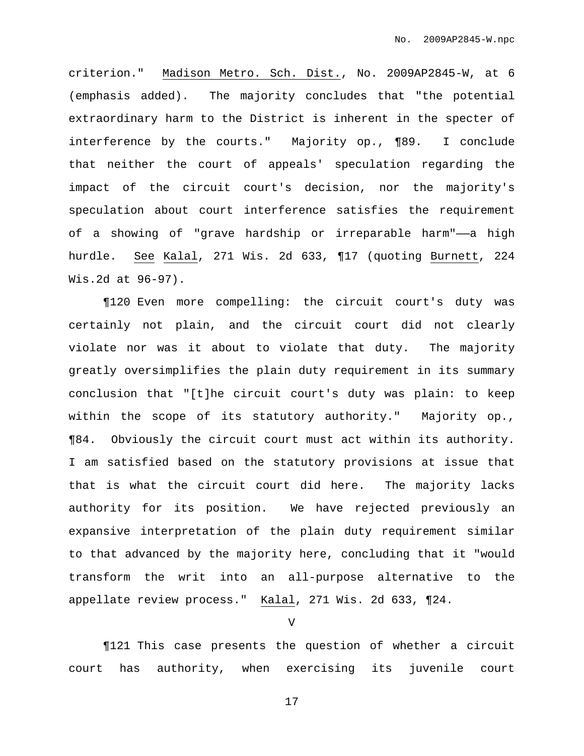criterion." Madison Metro. Sch. Dist., No. 2009AP2845-W, at 6 (emphasis added). The majority concludes that "the potential extraordinary harm to the District is inherent in the specter of interference by the courts." Majority op., ¶89. I conclude that neither the court of appeals' speculation regarding the impact of the circuit court's decision, nor the majority's speculation about court interference satisfies the requirement of a showing of "grave hardship or irreparable harm"—a high hurdle. See Kalal, 271 Wis. 2d 633, ¶17 (quoting Burnett, 224 Wis.2d at 96-97).

¶120 Even more compelling: the circuit court's duty was certainly not plain, and the circuit court did not clearly violate nor was it about to violate that duty. The majority greatly oversimplifies the plain duty requirement in its summary conclusion that "[t]he circuit court's duty was plain: to keep within the scope of its statutory authority." Majority op., ¶84. Obviously the circuit court must act within its authority. I am satisfied based on the statutory provisions at issue that that is what the circuit court did here. The majority lacks authority for its position. We have rejected previously an expansive interpretation of the plain duty requirement similar to that advanced by the majority here, concluding that it "would transform the writ into an all-purpose alternative to the appellate review process." Kalal, 271 Wis. 2d 633, ¶24.

V

¶121 This case presents the question of whether a circuit court has authority, when exercising its juvenile court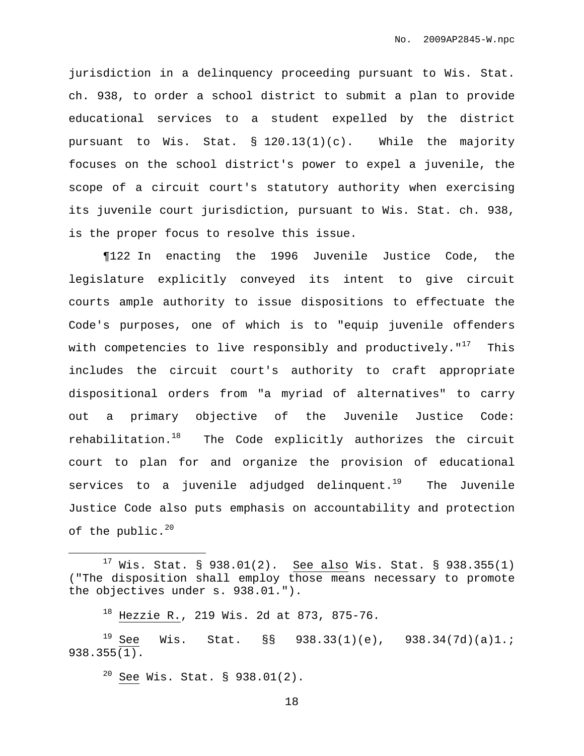jurisdiction in a delinquency proceeding pursuant to Wis. Stat. ch. 938, to order a school district to submit a plan to provide educational services to a student expelled by the district pursuant to Wis. Stat. § 120.13(1)(c). While the majority focuses on the school district's power to expel a juvenile, the scope of a circuit court's statutory authority when exercising its juvenile court jurisdiction, pursuant to Wis. Stat. ch. 938, is the proper focus to resolve this issue.

¶122 In enacting the 1996 Juvenile Justice Code, the legislature explicitly conveyed its intent to give circuit courts ample authority to issue dispositions to effectuate the Code's purposes, one of which is to "equip juvenile offenders with competencies to live responsibly and productively." $^{17}$  This includes the circuit court's authority to craft appropriate dispositional orders from "a myriad of alternatives" to carry out a primary objective of the Juvenile Justice Code: rehabilitation.<sup>18</sup> The Code explicitly authorizes the circuit court to plan for and organize the provision of educational services to a juvenile adjudged delinquent. <sup>19</sup> The Juvenile Justice Code also puts emphasis on accountability and protection of the public. $^{20}$ 

<sup>20</sup> See Wis. Stat. § 938.01(2).

 $17$  Wis. Stat. § 938.01(2). See also Wis. Stat. § 938.355(1) ("The disposition shall employ those means necessary to promote the objectives under s. 938.01.").

 $18$  Hezzie R., 219 Wis. 2d at 873, 875-76.

<sup>&</sup>lt;sup>19</sup> See Wis. Stat. §§ 938.33(1)(e), 938.34(7d)(a)1.; 938.355(1).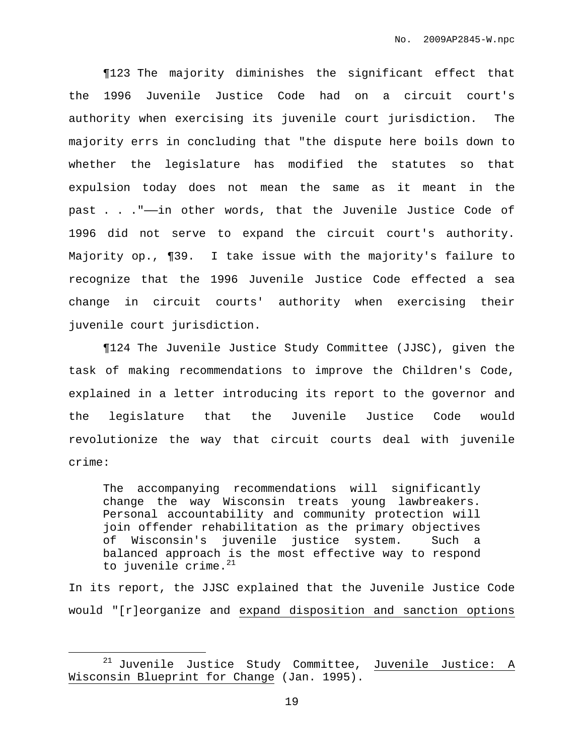¶123 The majority diminishes the significant effect that the 1996 Juvenile Justice Code had on a circuit court's authority when exercising its juvenile court jurisdiction. The majority errs in concluding that "the dispute here boils down to whether the legislature has modified the statutes so that expulsion today does not mean the same as it meant in the past . . ."——in other words, that the Juvenile Justice Code of 1996 did not serve to expand the circuit court's authority. Majority op., ¶39. I take issue with the majority's failure to recognize that the 1996 Juvenile Justice Code effected a sea change in circuit courts' authority when exercising their juvenile court jurisdiction.

¶124 The Juvenile Justice Study Committee (JJSC), given the task of making recommendations to improve the Children's Code, explained in a letter introducing its report to the governor and the legislature that the Juvenile Justice Code would revolutionize the way that circuit courts deal with juvenile crime:

The accompanying recommendations will significantly change the way Wisconsin treats young lawbreakers. Personal accountability and community protection will join offender rehabilitation as the primary objectives of Wisconsin's juvenile justice system. Such a balanced approach is the most effective way to respond to juvenile crime. 21

In its report, the JJSC explained that the Juvenile Justice Code would "[r]eorganize and expand disposition and sanction options

 $21$  Juvenile Justice Study Committee, Juvenile Justice: A Wisconsin Blueprint for Change (Jan. 1995).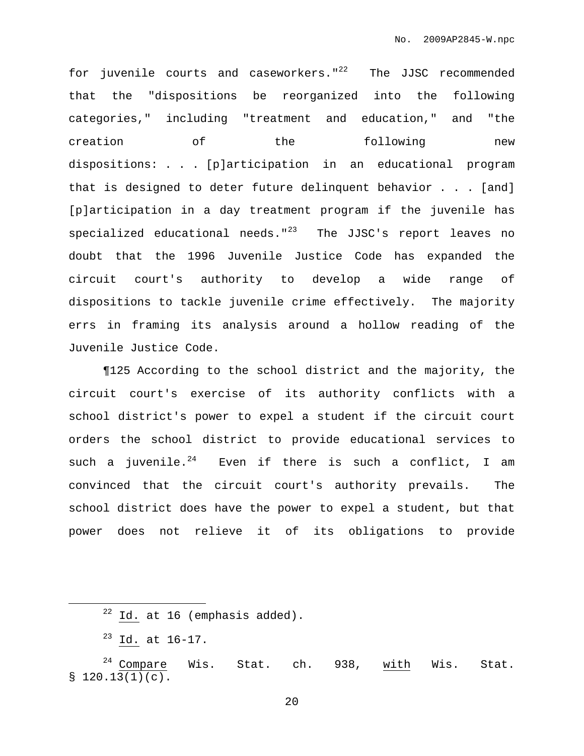for juvenile courts and caseworkers."<sup>22</sup> The JJSC recommended that the "dispositions be reorganized into the following categories," including "treatment and education," and "the creation of the following new dispositions: . . . [p]articipation in an educational program that is designed to deter future delinquent behavior . . . [and] [p]articipation in a day treatment program if the juvenile has specialized educational needs."<sup>23</sup> The JJSC's report leaves no doubt that the 1996 Juvenile Justice Code has expanded the circuit court's authority to develop a wide range of dispositions to tackle juvenile crime effectively. The majority errs in framing its analysis around a hollow reading of the Juvenile Justice Code.

¶125 According to the school district and the majority, the circuit court's exercise of its authority conflicts with a school district's power to expel a student if the circuit court orders the school district to provide educational services to such a juvenile.<sup>24</sup> Even if there is such a conflict, I am convinced that the circuit court's authority prevails. The school district does have the power to expel a student, but that power does not relieve it of its obligations to provide

 $22$  Id. at 16 (emphasis added).

<sup>23</sup> Id. at 16-17.

 $24$  Compare Wis. Stat. ch. 938, with Wis. Stat.  $$120.13(1)(c).$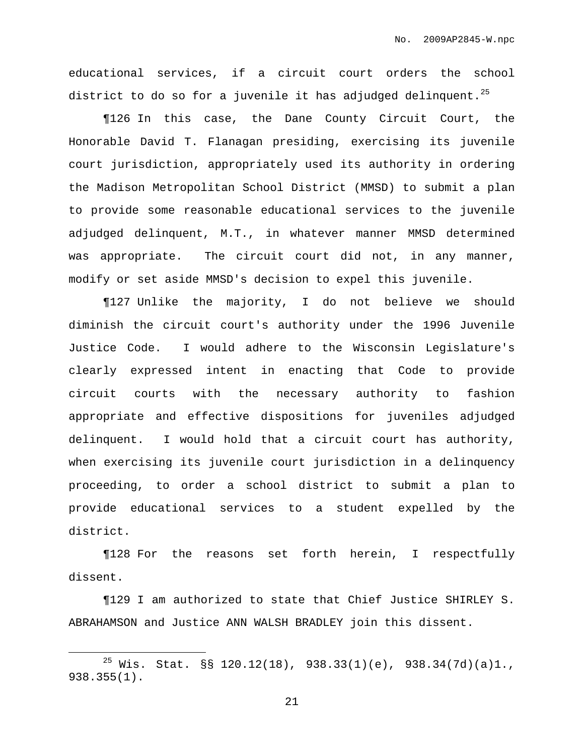educational services, if a circuit court orders the school district to do so for a juvenile it has adjudged delinquent. $^{25}$ 

¶126 In this case, the Dane County Circuit Court, the Honorable David T. Flanagan presiding, exercising its juvenile court jurisdiction, appropriately used its authority in ordering the Madison Metropolitan School District (MMSD) to submit a plan to provide some reasonable educational services to the juvenile adjudged delinquent, M.T., in whatever manner MMSD determined was appropriate. The circuit court did not, in any manner, modify or set aside MMSD's decision to expel this juvenile.

¶127 Unlike the majority, I do not believe we should diminish the circuit court's authority under the 1996 Juvenile Justice Code. I would adhere to the Wisconsin Legislature's clearly expressed intent in enacting that Code to provide circuit courts with the necessary authority to fashion appropriate and effective dispositions for juveniles adjudged delinquent. I would hold that a circuit court has authority, when exercising its juvenile court jurisdiction in a delinquency proceeding, to order a school district to submit a plan to provide educational services to a student expelled by the district.

¶128 For the reasons set forth herein, I respectfully dissent.

¶129 I am authorized to state that Chief Justice SHIRLEY S. ABRAHAMSON and Justice ANN WALSH BRADLEY join this dissent.

<sup>&</sup>lt;sup>25</sup> Wis. Stat. §§ 120.12(18), 938.33(1)(e), 938.34(7d)(a)1., 938.355(1).